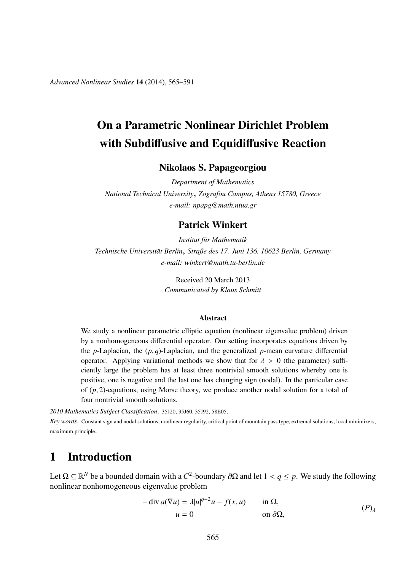*Advanced Nonlinear Studies* 14 (2014), 565–591

# On a Parametric Nonlinear Dirichlet Problem with Subdiffusive and Equidiffusive Reaction

Nikolaos S. Papageorgiou

*Department of Mathematics National Technical University*, *Zografou Campus, Athens 15780, Greece e-mail: npapg@math.ntua.gr*

#### Patrick Winkert

*Institut f ¨ur Mathematik Technische Universit ¨at Berlin*, *Straße des 17. Juni 136, 10623 Berlin, Germany e-mail: winkert@math.tu-berlin.de*

> Received 20 March 2013 *Communicated by Klaus Schmitt*

#### Abstract

We study a nonlinear parametric elliptic equation (nonlinear eigenvalue problem) driven by a nonhomogeneous differential operator. Our setting incorporates equations driven by the *p*-Laplacian, the  $(p,q)$ -Laplacian, and the generalized *p*-mean curvature differential operator. Applying variational methods we show that for  $\lambda > 0$  (the parameter) sufficiently large the problem has at least three nontrivial smooth solutions whereby one is positive, one is negative and the last one has changing sign (nodal). In the particular case of (*p*, 2)-equations, using Morse theory, we produce another nodal solution for a total of four nontrivial smooth solutions.

*2010 Mathematics Subject Classification*. 35J20, 35J60, 35J92, 58E05.

*Key words*. Constant sign and nodal solutions, nonlinear regularity, critical point of mountain pass type, extremal solutions, local minimizers, maximum principle.

#### 1 Introduction

Let  $\Omega \subseteq \mathbb{R}^N$  be a bounded domain with a *C*<sup>2</sup>-boundary ∂ $\Omega$  and let  $1 < q \le p$ . We study the following nonlinear nonhomogeneous eigenvalue problem

$$
-\operatorname{div} a(\nabla u) = \lambda |u|^{q-2}u - f(x, u) \quad \text{in } \Omega,
$$
  
 
$$
u = 0 \quad \text{on } \partial\Omega,
$$
 (P)<sub>λ</sub>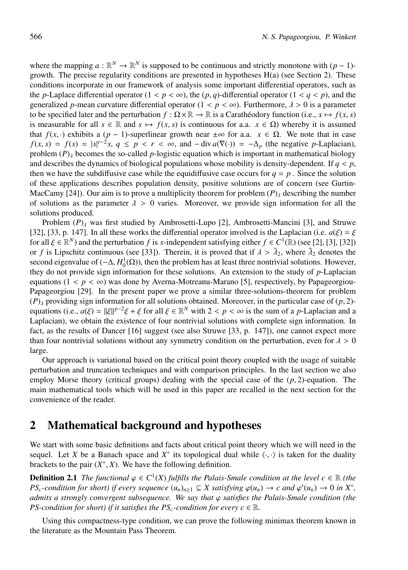where the mapping  $a : \mathbb{R}^N \to \mathbb{R}^N$  is supposed to be continuous and strictly monotone with  $(p-1)$ growth. The precise regularity conditions are presented in hypotheses H(a) (see Section 2). These conditions incorporate in our framework of analysis some important differential operators, such as the *p*-Laplace differential operator  $(1 < p < \infty)$ , the  $(p, q)$ -differential operator  $(1 < q < p)$ , and the generalized *p*-mean curvature differential operator  $(1 < p < \infty)$ . Furthermore,  $\lambda > 0$  is a parameter to be specified later and the perturbation  $f : \Omega \times \mathbb{R} \to \mathbb{R}$  is a Carathéodory function (i.e.,  $x \mapsto f(x, s)$ ) is measurable for all  $s \in \mathbb{R}$  and  $s \mapsto f(x, s)$  is continuous for a.a.  $x \in \Omega$ ) whereby it is assumed that  $f(x, \cdot)$  exhibits a  $(p - 1)$ -superlinear growth near  $\pm \infty$  for a.a.  $x \in \Omega$ . We note that in case  $f(x, s) = f(s) = |s|^{r-2} s, q \le p < r < \infty$ , and  $-\text{div } a(\nabla(\cdot)) = -\Delta_p$  (the negative *p*-Laplacian), problem  $(P)$ <sub>λ</sub> becomes the so-called *p*-logistic equation which is important in mathematical biology and describes the dynamics of biological populations whose mobility is density-dependent. If  $q < p$ , then we have the subdiffusive case while the equidiffusive case occurs for  $q = p$ . Since the solution of these applications describes population density, positive solutions are of concern (see Gurtin-MacCamy [24]). Our aim is to prove a multiplicity theorem for problem  $(P)$ <sub>λ</sub> describing the number of solutions as the parameter  $\lambda > 0$  varies. Moreover, we provide sign information for all the solutions produced.

Problem  $(P)$ <sub>λ</sub> was first studied by Ambrosetti-Lupo [2], Ambrosetti-Mancini [3], and Struwe [32], [33, p. 147]. In all these works the differential operator involved is the Laplacian (i.e.  $a(\xi) = \xi$ for all  $\xi \in \mathbb{R}^N$  and the perturbation *f* is *x*-independent satisfying either  $f \in C^1(\mathbb{R})$  (see [2], [3], [32]) or *f* is Lipschitz continuous (see [33]). Therein, it is proved that if  $\lambda > \tilde{\lambda}_2$ , where  $\tilde{\lambda}_2$  denotes the second eigenvalue of  $(-\Delta, H_0^1(\Omega))$ , then the problem has at least three nontrivial solutions. However, they do not provide sign information for these solutions. An extension to the study of *p*-Laplacian equations  $(1 < p < \infty)$  was done by Averna-Motreanu-Marano [5], respectively, by Papageorgiou-Papageorgiou [29]. In the present paper we prove a similar three-solutions-theorem for problem  $(P)$ <sub>λ</sub> providing sign information for all solutions obtained. Moreover, in the particular case of  $(p, 2)$ equations (i.e.,  $a(\xi) = ||\xi||^{p-2}\xi + \xi$  for all  $\xi \in \mathbb{R}^N$  with  $2 < p < \infty$  is the sum of a *p*-Laplacian and a Laplacian), we obtain the existence of four nontrivial solutions with complete sign information. In fact, as the results of Dancer [16] suggest (see also Struwe [33, p. 147]), one cannot expect more than four nontrivial solutions without any symmetry condition on the perturbation, even for  $\lambda > 0$ large.

Our approach is variational based on the critical point theory coupled with the usage of suitable perturbation and truncation techniques and with comparison principles. In the last section we also employ Morse theory (critical groups) dealing with the special case of the  $(p, 2)$ -equation. The main mathematical tools which will be used in this paper are recalled in the next section for the convenience of the reader.

#### 2 Mathematical background and hypotheses

We start with some basic definitions and facts about critical point theory which we will need in the sequel. Let *X* be a Banach space and  $X^*$  its topological dual while  $\langle \cdot, \cdot \rangle$  is taken for the duality brackets to the pair  $(X^*, X)$ . We have the following definition.

**Definition 2.1** *The functional*  $\varphi \in C^1(X)$  *fulfills the Palais-Smale condition at the level*  $c \in \mathbb{R}$  *(the PS<sub>c</sub>*-condition for short) if every sequence  $(u_n)_{n\geq 1} \subseteq X$  satisfying  $\varphi(u_n) \to c$  and  $\varphi'(u_n) \to 0$  in  $X^*$ , *admits a strongly convergent subsequence. We say that* ϕ *satisfies the Palais-Smale condition (the PS-condition for short) if it satisfies the*  $PS_c$ *-condition for every*  $c \in \mathbb{R}$ *.* 

Using this compactness-type condition, we can prove the following minimax theorem known in the literature as the Mountain Pass Theorem.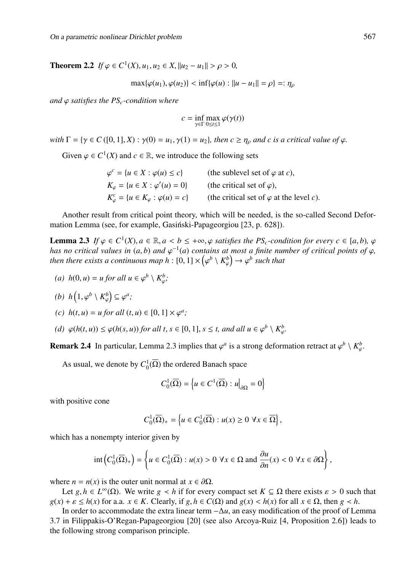**Theorem 2.2** *If*  $\varphi \in C^1(X), u_1, u_2 \in X, ||u_2 - u_1|| > \rho > 0$ ,

 $\max{\{\varphi(u_1), \varphi(u_2)\}} < \inf{\{\varphi(u) : ||u - u_1|| = \rho\}} =: \eta_o$ 

*and*  $\varphi$  *satisfies the PS<sub>c</sub>-condition where* 

$$
c = \inf_{\gamma \in \Gamma} \max_{0 \le t \le 1} \varphi(\gamma(t))
$$

*with*  $\Gamma = \{ \gamma \in C([0, 1], X) : \gamma(0) = u_1, \gamma(1) = u_2 \}$ , then  $c \geq \eta_\rho$  and c is a critical value of  $\varphi$ .

Given  $\varphi \in C^1(X)$  and  $c \in \mathbb{R}$ , we introduce the following sets

| $\varphi^c = \{u \in X : \varphi(u) \leq c\}$              | (the sublevel set of $\varphi$ at c),           |
|------------------------------------------------------------|-------------------------------------------------|
| $K_{\varphi} = \{u \in X : \varphi'(u) = 0\}$              | (the critical set of $\varphi$ ),               |
| $K_{\varphi}^{c} = \{u \in K_{\varphi} : \varphi(u) = c\}$ | (the critical set of $\varphi$ at the level c). |

Another result from critical point theory, which will be needed, is the so-called Second Deformation Lemma (see, for example, Gasiński-Papageorgiou [23, p. 628]).

**Lemma 2.3** *If*  $\varphi \in C^1(X)$ ,  $a \in \mathbb{R}$ ,  $a < b \leq +\infty$ ,  $\varphi$  satisfies the PS<sub>c</sub>-condition for every  $c \in [a, b)$ ,  $\varphi$ *has no critical values in* (*a*, *b*) *and*  $\varphi^{-1}(a)$  *contains at most a finite number of critical points of*  $\varphi$ *,* then there exists a continuous map  $h: [0,1] \times \left( \varphi^b \setminus \mathit{K}^b_\varphi \right) \rightarrow \varphi^b$  such that

(a) 
$$
h(0, u) = u
$$
 for all  $u \in \varphi^b \setminus K^b_{\varphi}$ ;

(b) 
$$
h\left(1, \varphi^b \setminus K_{\varphi}^b\right) \subseteq \varphi^a;
$$

(c) 
$$
h(t, u) = u
$$
 for all  $(t, u) \in [0, 1] \times \varphi^a$ ;

*(d)*  $\varphi(h(t, u)) \leq \varphi(h(s, u))$  *for all t*,  $s \in [0, 1]$ ,  $s \leq t$ , and all  $u \in \varphi^b \setminus K^b_{\varphi}$ .

**Remark 2.4** In particular, Lemma 2.3 implies that  $\varphi^a$  is a strong deformation retract at  $\varphi^b \setminus K^b_{\varphi}$ .

As usual, we denote by  $C_0^1(\overline{\Omega})$  the ordered Banach space

$$
C_0^1(\overline{\Omega}) = \left\{ u \in C^1(\overline{\Omega}) : u \right\vert_{\partial \Omega} = 0 \right\}
$$

with positive cone

$$
C_0^1(\overline{\Omega})_+ = \left\{ u \in C_0^1(\overline{\Omega}) : u(x) \ge 0 \,\,\forall x \in \overline{\Omega} \right\},\,
$$

which has a nonempty interior given by

$$
\mathrm{int}\left(C_0^1(\overline{\Omega})_+\right) = \left\{u \in C_0^1(\overline{\Omega}) : u(x) > 0 \,\,\forall x \in \Omega \text{ and } \frac{\partial u}{\partial n}(x) < 0 \,\,\forall x \in \partial\Omega\right\},\
$$

where  $n = n(x)$  is the outer unit normal at  $x \in \partial \Omega$ .

Let  $g, h \in L^{\infty}(\Omega)$ . We write  $g \prec h$  if for every compact set  $K \subseteq \Omega$  there exists  $\varepsilon > 0$  such that  $g(x) + \varepsilon \le h(x)$  for a.a.  $x \in K$ . Clearly, if  $g, h \in C(\Omega)$  and  $g(x) < h(x)$  for all  $x \in \Omega$ , then  $g \prec h$ .

In order to accommodate the extra linear term −Δ*u*, an easy modification of the proof of Lemma 3.7 in Filippakis-O'Regan-Papageorgiou [20] (see also Arcoya-Ruiz [4, Proposition 2.6]) leads to the following strong comparison principle.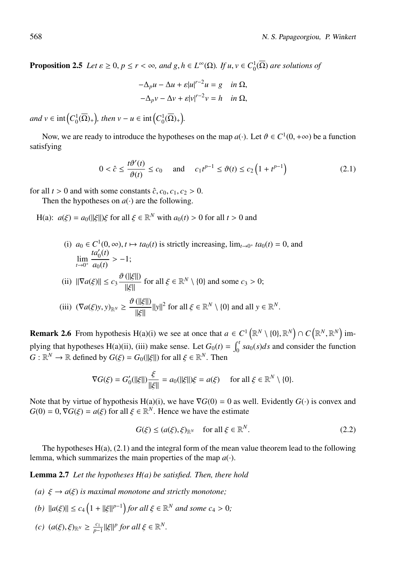**Proposition 2.5** *Let*  $\varepsilon \ge 0$ ,  $p \le r < \infty$ , and  $g, h \in L^{\infty}(\Omega)$ . If  $u, v \in C_0^1(\overline{\Omega})$  are solutions of

$$
-\Delta_p u - \Delta u + \varepsilon |u|^{r-2}u = g \quad \text{in } \Omega,
$$
  

$$
-\Delta_p v - \Delta v + \varepsilon |v|^{r-2}v = h \quad \text{in } \Omega,
$$

 $and v \in \text{int}\left(C_0^1(\overline{\Omega})_+\right), \, then \, v - u \in \text{int}\left(C_0^1(\overline{\Omega})_+\right).$ 

Now, we are ready to introduce the hypotheses on the map  $a(\cdot)$ . Let  $\vartheta \in C^1(0, +\infty)$  be a function satisfying

$$
0 < \hat{c} \le \frac{t\vartheta'(t)}{\vartheta(t)} \le c_0 \quad \text{ and } \quad c_1 t^{p-1} \le \vartheta(t) \le c_2 \left( 1 + t^{p-1} \right) \tag{2.1}
$$

for all  $t > 0$  and with some constants  $\hat{c}$ ,  $c_0$ ,  $c_1$ ,  $c_2 > 0$ .

Then the hypotheses on  $a(\cdot)$  are the following.

H(a):  $a(\xi) = a_0(||\xi||)\xi$  for all  $\xi \in \mathbb{R}^N$  with  $a_0(t) > 0$  for all  $t > 0$  and

\n- (i) 
$$
a_0 \in C^1(0, \infty), t \mapsto ta_0(t)
$$
 is strictly increasing,  $\lim_{t \to 0^+} ta_0(t) = 0$ , and  $\lim_{t \to 0^+} \frac{ta'_0(t)}{a_0(t)} > -1;$
\n- (ii)  $\|\nabla a(\xi)\| \le c_3 \frac{\vartheta(\|\xi\|)}{\|\xi\|}$  for all  $\xi \in \mathbb{R}^N \setminus \{0\}$  and some  $c_3 > 0;$
\n- (iii)  $(\nabla a(\xi)y, y)_{\mathbb{R}^N} \ge \frac{\vartheta(\|\xi\|)}{\|\xi\|} \|y\|^2$  for all  $\xi \in \mathbb{R}^N \setminus \{0\}$  and all  $y \in \mathbb{R}^N$ .
\n

**Remark 2.6** From hypothesis H(a)(i) we see at once that  $a \in C^1(\mathbb{R}^N \setminus \{0\}, \mathbb{R}^N) \cap C(\mathbb{R}^N, \mathbb{R}^N)$  implying that hypotheses H(a)(ii), (iii) make sense. Let  $G_0(t) = \int_0^t sa_0(s)ds$  and consider the function  $G: \mathbb{R}^N \to \mathbb{R}$  defined by  $G(\xi) = G_0(||\xi||)$  for all  $\xi \in \mathbb{R}^N$ . Then

$$
\nabla G(\xi) = G_0'(\|\xi\|) \frac{\xi}{\|\xi\|} = a_0(\|\xi\|) \xi = a(\xi) \quad \text{ for all } \xi \in \mathbb{R}^N \setminus \{0\}.
$$

Note that by virtue of hypothesis H(a)(i), we have  $\nabla G(0) = 0$  as well. Evidently  $G(\cdot)$  is convex and  $G(0) = 0$ ,  $\nabla G(\xi) = a(\xi)$  for all  $\xi \in \mathbb{R}^N$ . Hence we have the estimate

$$
G(\xi) \le (a(\xi), \xi)_{\mathbb{R}^N} \quad \text{for all } \xi \in \mathbb{R}^N. \tag{2.2}
$$

The hypotheses  $H(a)$ ,  $(2.1)$  and the integral form of the mean value theorem lead to the following lemma, which summarizes the main properties of the map  $a(\cdot)$ .

Lemma 2.7 *Let the hypotheses H(a) be satisfied. Then, there hold*

- *(a)*  $\xi \rightarrow a(\xi)$  *is maximal monotone and strictly monotone;*
- $|a(\xi)| \le c_4 \left(1 + ||\xi||^{p-1}\right)$  *for all*  $\xi \in \mathbb{R}^N$  *and some*  $c_4 > 0$ *;*
- *(c)*  $(a(\xi), \xi)_{\mathbb{R}^N} \ge \frac{c_1}{p-1} ||\xi||^p$  *for all*  $\xi \in \mathbb{R}^N$ .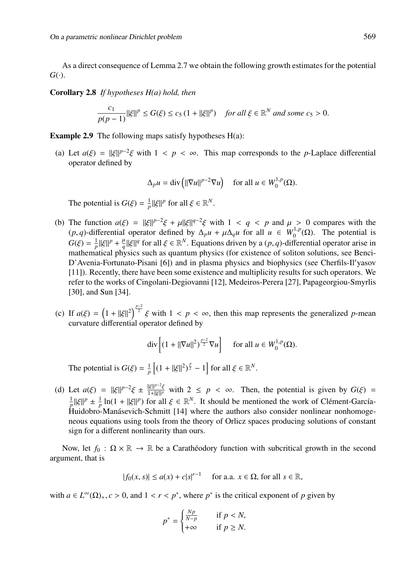As a direct consequence of Lemma 2.7 we obtain the following growth estimates for the potential  $G(\cdot)$ .

Corollary 2.8 *If hypotheses H(a) hold, then*

$$
\frac{c_1}{p(p-1)}\|\xi\|^p \le G(\xi) \le c_5\left(1 + \|\xi\|^p\right) \quad \text{for all } \xi \in \mathbb{R}^N \text{ and some } c_5 > 0.
$$

**Example 2.9** The following maps satisfy hypotheses  $H(a)$ :

(a) Let  $a(\xi) = ||\xi||^{p-2}\xi$  with  $1 < p < \infty$ . This map corresponds to the *p*-Laplace differential operator defined by

$$
\Delta_p u = \text{div} \left( ||\nabla u||^{p-2} \nabla u \right) \quad \text{for all } u \in W_0^{1,p}(\Omega).
$$

The potential is  $G(\xi) = \frac{1}{p} ||\xi||^p$  for all  $\xi \in \mathbb{R}^N$ .

- (b) The function  $a(\xi) = ||\xi||^{p-2}\xi + \mu||\xi||^{q-2}\xi$  with  $1 < q < p$  and  $\mu > 0$  compares with the  $(p, q)$ -differential operator defined by  $\Delta_p u + \mu \Delta_q u$  for all  $u \in W_0^{1,p}(\Omega)$ . The potential is  $G(\xi) = \frac{1}{p} ||\xi||^p + \frac{\mu}{q} ||\xi||^q$  for all  $\xi \in \mathbb{R}^N$ . Equations driven by a  $(p, q)$ -differential operator arise in mathematical physics such as quantum physics (for existence of soliton solutions, see Benci-D'Avenia-Fortunato-Pisani [6]) and in plasma physics and biophysics (see Cherfils-Il yasov [11]). Recently, there have been some existence and multiplicity results for such operators. We refer to the works of Cingolani-Degiovanni [12], Medeiros-Perera [27], Papageorgiou-Smyrlis [30], and Sun [34].
- (c) If  $a(\xi) = \left(1 + ||\xi||^2\right)^{\frac{p-2}{2}} \xi$  with  $1 < p < \infty$ , then this map represents the generalized *p*-mean curvature differential operator defined by

$$
\operatorname{div}\left[ (1+ \|\nabla u\|^2)^{\frac{p-2}{2}} \nabla u \right] \quad \text{ for all } u \in W_0^{1,p}(\Omega).
$$

The potential is  $G(\xi) = \frac{1}{p} \left[ (1 + ||\xi||^2)^{\frac{p}{2}} - 1 \right]$  for all  $\xi \in \mathbb{R}^N$ .

(d) Let  $a(\xi) = ||\xi||^{p-2}\xi \pm \frac{||\xi||^{p-2}\xi}{1+||\xi||^p}$  with  $2 \le p < \infty$ . Then, the potential is given by  $G(\xi) =$  $\frac{1}{p} ||\xi||^p \pm \frac{1}{p} \ln(1 + ||\xi||^p)$  for all  $\xi \in \mathbb{R}^N$ . It should be mentioned the work of Clément-García-Huidobro-Manásevich-Schmitt [14] where the authors also consider nonlinear nonhomogeneous equations using tools from the theory of Orlicz spaces producing solutions of constant sign for a different nonlinearity than ours.

Now, let  $f_0$ :  $\Omega \times \mathbb{R} \to \mathbb{R}$  be a Caratheodory function with subcritical growth in the second argument, that is

$$
|f_0(x, s)| \le a(x) + c|s|^{r-1} \quad \text{for a.a. } x \in \Omega \text{, for all } s \in \mathbb{R},
$$

with  $a \in L^{\infty}(\Omega)_{+}$ ,  $c > 0$ , and  $1 < r < p^*$ , where  $p^*$  is the critical exponent of p given by

$$
p^* = \begin{cases} \frac{Np}{N-p} & \text{if } p < N, \\ +\infty & \text{if } p \ge N. \end{cases}
$$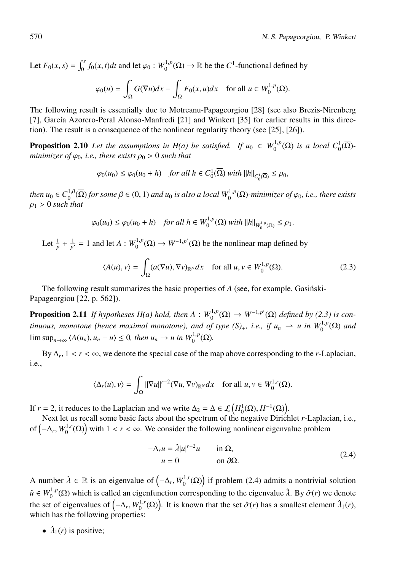Let  $F_0(x, s) = \int_0^s f_0(x, t)dt$  and let  $\varphi_0 : W_0^{1,p}(\Omega) \to \mathbb{R}$  be the *C*<sup>1</sup>-functional defined by

$$
\varphi_0(u) = \int_{\Omega} G(\nabla u) dx - \int_{\Omega} F_0(x, u) dx \quad \text{for all } u \in W_0^{1, p}(\Omega).
$$

The following result is essentially due to Motreanu-Papageorgiou [28] (see also Brezis-Nirenberg [7], García Azorero-Peral Alonso-Manfredi [21] and Winkert [35] for earlier results in this direction). The result is a consequence of the nonlinear regularity theory (see [25], [26]).

**Proposition 2.10** Let the assumptions in H(a) be satisfied. If  $u_0 \in W_0^{1,p}(\Omega)$  is a local  $C_0^1(\overline{\Omega})$ *minimizer of*  $\varphi_0$ *, i.e., there exists*  $\rho_0 > 0$  *such that* 

$$
\varphi_0(u_0) \le \varphi_0(u_0 + h) \quad \text{for all } h \in C_0^1(\overline{\Omega}) \text{ with } ||h||_{C_0^1(\overline{\Omega})} \le \rho_0,
$$

 $then u_0 \in C_0^{1,\beta}(\overline{\Omega})$  *for some*  $\beta \in (0,1)$  *and*  $u_0$  *is also a local*  $W_0^{1,p}(\Omega)$ *-minimizer of*  $\varphi_0$ *, i.e., there exists*  $\rho_1 > 0$  *such that* 

$$
\varphi_0(u_0) \le \varphi_0(u_0 + h) \quad \text{for all } h \in W_0^{1,p}(\Omega) \text{ with } ||h||_{W_0^{1,p}(\Omega)} \le \rho_1.
$$

Let  $\frac{1}{p} + \frac{1}{p'} = 1$  and let  $A: W_0^{1,p}(\Omega) \to W^{-1,p'}(\Omega)$  be the nonlinear map defined by

$$
\langle A(u), v \rangle = \int_{\Omega} (a(\nabla u), \nabla v)_{\mathbb{R}^N} dx \quad \text{for all } u, v \in W_0^{1, p}(\Omega). \tag{2.3}
$$

The following result summarizes the basic properties of *A* (see, for example, Gasinski-Papageorgiou [22, p. 562]).

**Proposition 2.11** *If hypotheses H(a) hold, then*  $A: W_0^{1,p}(\Omega) \to W^{-1,p'}(\Omega)$  *defined by (2.3) is continuous, monotone (hence maximal monotone), and of type*  $(S)_+$ *, i.e., if*  $u_n \rightharpoonup u$  *in*  $W_0^{1,p}(\Omega)$  *and*  $\limsup_{n\to\infty} \langle A(u_n), u_n - u \rangle \leq 0$ , then  $u_n \to u$  in  $W_0^{1,p}(\Omega)$ .

By  $\Delta_r$ ,  $1 < r < \infty$ , we denote the special case of the map above corresponding to the *r*-Laplacian, i.e.,

$$
\langle \Delta_r(u), v \rangle = \int_{\Omega} ||\nabla u||^{r-2} (\nabla u, \nabla v)_{\mathbb{R}^N} dx \quad \text{for all } u, v \in W_0^{1,r}(\Omega).
$$

If *r* = 2, it reduces to the Laplacian and we write  $\Delta_2 = \Delta \in \mathcal{L}(H_0^1(\Omega), H^{-1}(\Omega)).$ 

Next let us recall some basic facts about the spectrum of the negative Dirichlet *r*-Laplacian, i.e., of  $(-\Delta_r, W_0^{1,r}(\Omega))$  with  $1 < r < \infty$ . We consider the following nonlinear eigenvalue problem

$$
-\Delta_r u = \hat{\lambda}|u|^{r-2}u \quad \text{in } \Omega,
$$
  
 
$$
u = 0 \quad \text{on } \partial\Omega.
$$
 (2.4)

A number  $\hat{\lambda} \in \mathbb{R}$  is an eigenvalue of  $(-\Delta_r, W_0^{1,r}(\Omega))$  if problem (2.4) admits a nontrivial solution  $\hat{u} \in W_0^{1,p}(\Omega)$  which is called an eigenfunction corresponding to the eigenvalue  $\hat{\lambda}$ . By  $\hat{\sigma}(r)$  we denote the set of eigenvalues of  $(-\Delta_r, W_0^{1,r}(\Omega))$ . It is known that the set  $\hat{\sigma}(r)$  has a smallest element  $\hat{\lambda}_1(r)$ , which has the following properties:

•  $\hat{\lambda}_1(r)$  is positive;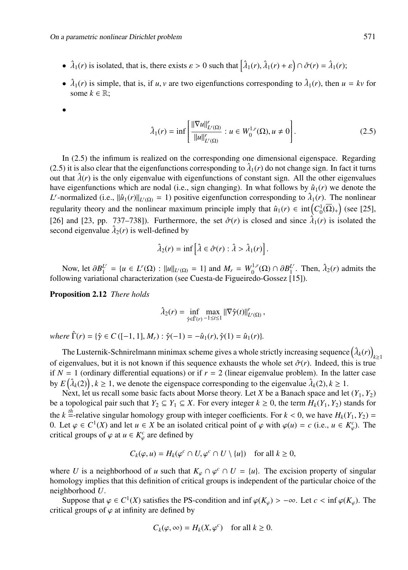- $\hat{\lambda}_1(r)$  is isolated, that is, there exists  $\varepsilon > 0$  such that  $\left|\hat{\lambda}_1(r), \hat{\lambda}_1(r) + \varepsilon\right| \cap \hat{\sigma}(r) = \hat{\lambda}_1(r);$
- $\hat{\lambda}_1(r)$  is simple, that is, if *u*, *v* are two eigenfunctions corresponding to  $\hat{\lambda}_1(r)$ , then  $u = kv$  for some  $k \in \mathbb{R}$ ;
- •

$$
\hat{\lambda}_1(r) = \inf \left[ \frac{\|\nabla u\|_{L^r(\Omega)}^r}{\|u\|_{L^r(\Omega)}^r} : u \in W_0^{1,r}(\Omega), u \neq 0 \right].
$$
 (2.5)

In (2.5) the infimum is realized on the corresponding one dimensional eigenspace. Regarding (2.5) it is also clear that the eigenfunctions corresponding to  $\hat{\lambda}_1(r)$  do not change sign. In fact it turns out that  $\hat{\lambda}(r)$  is the only eigenvalue with eigenfunctions of constant sign. All the other eigenvalues have eigenfunctions which are nodal (i.e., sign changing). In what follows by  $\hat{u}_1(r)$  we denote the *L*<sup>*r*</sup>-normalized (i.e.,  $\|\hat{u}_1(r)\|_{L^r(\Omega)} = 1$ ) positive eigenfunction corresponding to  $\hat{\lambda}_1(r)$ . The nonlinear regularity theory and the nonlinear maximum principle imply that  $\hat{u}_1(r) \in \text{int}\left(C_0^1(\overline{\Omega})_+\right)$  (see [25], [26] and [23, pp. 737–738]). Furthermore, the set  $\hat{\sigma}(r)$  is closed and since  $\hat{\lambda}_1(r)$  is isolated the second eigenvalue  $\hat{\lambda}_2(r)$  is well-defined by

$$
\hat{\lambda}_2(r) = \inf \left[ \hat{\lambda} \in \hat{\sigma}(r) : \hat{\lambda} > \hat{\lambda}_1(r) \right].
$$

Now, let  $\partial B_1^L$  = {*u* ∈ *L<sup>r</sup>*(Ω) : ||*u*||<sub>*Lr*(Ω)</sub> = 1} and *M<sub>r</sub>* = *W*<sub>0</sub><sup>1</sup>/<sub>2</sub>(Ω) ∩  $\partial B_1^L$ <sup>r</sup>. Then,  $\hat{\lambda}_2(r)$  admits the following variational characterization (see Cuesta-de Figueiredo-Gossez [15]).

Proposition 2.12 *There holds*

$$
\hat{\lambda}_2(r) = \inf_{\hat{\gamma} \in \hat{\Gamma}(r)} \max_{-1 \leq t \leq 1} ||\nabla \hat{\gamma}(t)||^r_{L^r(\Omega)},
$$

 $where \ \hat{\Gamma}(r) = {\hat{\gamma}} \in C \ (-1, 1], M_r : \hat{\gamma}(-1) = -\hat{u}_1(r), \hat{\gamma}(1) = \hat{u}_1(r)$ 

The Lusternik-Schnirelmann minimax scheme gives a whole strictly increasing sequence  $(\hat{\lambda}_k(r))_{k \geq 1}$ of eigenvalues, but it is not known if this sequence exhausts the whole set  $\hat{\sigma}(r)$ . Indeed, this is true if  $N = 1$  (ordinary differential equations) or if  $r = 2$  (linear eigenvalue problem). In the latter case by  $E(\hat{\lambda}_k(2)), k \ge 1$ , we denote the eigenspace corresponding to the eigenvalue  $\hat{\lambda}_k(2), k \ge 1$ .

Next, let us recall some basic facts about Morse theory. Let *X* be a Banach space and let  $(Y_1, Y_2)$ be a topological pair such that  $Y_2 \subseteq Y_1 \subseteq X$ . For every integer  $k \ge 0$ , the term  $H_k(Y_1, Y_2)$  stands for the *k*  $\stackrel{th}{=}$ -relative singular homology group with integer coefficients. For  $k < 0$ , we have  $H_k(Y_1, Y_2) =$ 0. Let  $\varphi \in C^1(X)$  and let  $u \in X$  be an isolated critical point of  $\varphi$  with  $\varphi(u) = c$  (i.e.,  $u \in K^c_{\varphi}$ ). The critical groups of  $\varphi$  at  $u \in K_{\varphi}^{c}$  are defined by

$$
C_k(\varphi, u) = H_k(\varphi^c \cap U, \varphi^c \cap U \setminus \{u\}) \quad \text{for all } k \ge 0,
$$

where *U* is a neighborhood of *u* such that  $K_{\varphi} \cap \varphi^{c} \cap U = \{u\}$ . The excision property of singular homology implies that this definition of critical groups is independent of the particular choice of the neighborhood *U*.

Suppose that  $\varphi \in C^1(X)$  satisfies the PS-condition and inf  $\varphi(K_\omega) > -\infty$ . Let  $c < \inf \varphi(K_\omega)$ . The critical groups of  $\varphi$  at infinity are defined by

$$
C_k(\varphi, \infty) = H_k(X, \varphi^c) \quad \text{for all } k \ge 0.
$$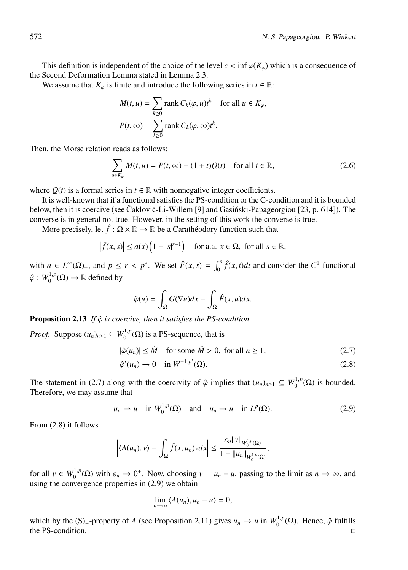This definition is independent of the choice of the level  $c < \inf \varphi(K_{\varphi})$  which is a consequence of the Second Deformation Lemma stated in Lemma 2.3.

We assume that  $K_{\varphi}$  is finite and introduce the following series in  $t \in \mathbb{R}$ :

$$
M(t, u) = \sum_{k \ge 0} \text{rank } C_k(\varphi, u)t^k \quad \text{for all } u \in K_{\varphi},
$$
  

$$
P(t, \infty) = \sum_{k \ge 0} \text{rank } C_k(\varphi, \infty)t^k.
$$

Then, the Morse relation reads as follows:

$$
\sum_{u \in K_{\varphi}} M(t, u) = P(t, \infty) + (1 + t)Q(t) \quad \text{for all } t \in \mathbb{R},
$$
\n(2.6)

where  $Q(t)$  is a formal series in  $t \in \mathbb{R}$  with nonnegative integer coefficients.

It is well-known that if a functional satisfies the PS-condition or the C-condition and it is bounded below, then it is coercive (see Čaklović-Li-Willem [9] and Gasinski-Papageorgiou [23, p. 614]). The converse is in general not true. However, in the setting of this work the converse is true.

More precisely, let  $\hat{f} : \Omega \times \mathbb{R} \to \mathbb{R}$  be a Caratheodory function such that

$$
\left|\hat{f}(x,s)\right| \le a(x)\left(1+|s|^{r-1}\right) \quad \text{for a.a. } x \in \Omega, \text{ for all } s \in \mathbb{R},
$$

with  $a \in L^{\infty}(\Omega)_{+}$ , and  $p \le r < p^*$ . We set  $\hat{F}(x, s) = \int_0^s \hat{f}(x, t) dt$  and consider the  $C^1$ -functional  $\hat{\varphi}: W_0^{1,p}(\Omega) \to \mathbb{R}$  defined by

$$
\hat{\varphi}(u) = \int_{\Omega} G(\nabla u) dx - \int_{\Omega} \hat{F}(x, u) dx.
$$

**Proposition 2.13** *If*  $\hat{\varphi}$  *is coercive, then it satisfies the PS-condition.* 

*Proof.* Suppose  $(u_n)_{n \geq 1} \subseteq W_0^{1,p}(\Omega)$  is a PS-sequence, that is

$$
|\hat{\varphi}(u_n)| \le \tilde{M} \quad \text{for some } \tilde{M} > 0, \text{ for all } n \ge 1,
$$
 (2.7)

$$
\hat{\varphi}'(u_n) \to 0 \quad \text{in } W^{-1,p'}(\Omega). \tag{2.8}
$$

The statement in (2.7) along with the coercivity of  $\hat{\varphi}$  implies that  $(u_n)_{n\geq 1} \subseteq W_0^{1,p}(\Omega)$  is bounded. Therefore, we may assume that

$$
u_n \rightharpoonup u
$$
 in  $W_0^{1,p}(\Omega)$  and  $u_n \rightarrow u$  in  $L^p(\Omega)$ . (2.9)

From (2.8) it follows

$$
\left|\langle A(u_n),v\rangle-\int_{\Omega}\hat{f}(x,u_n)vdx\right|\leq\frac{\varepsilon_n\|v\|_{W_0^{1,p}(\Omega)}}{1+\|u_n\|_{W_0^{1,p}(\Omega)}},
$$

for all  $v \in W_0^{1,p}(\Omega)$  with  $\varepsilon_n \to 0^+$ . Now, choosing  $v = u_n - u$ , passing to the limit as  $n \to \infty$ , and using the convergence properties in (2.9) we obtain

$$
\lim_{n\to\infty}\langle A(u_n),u_n-u\rangle=0,
$$

which by the  $(S)$ <sub>+</sub>-property of *A* (see Proposition 2.11) gives  $u_n \to u$  in  $W_0^{1,p}(\Omega)$ . Hence,  $\hat{\varphi}$  fulfills the PS-condition.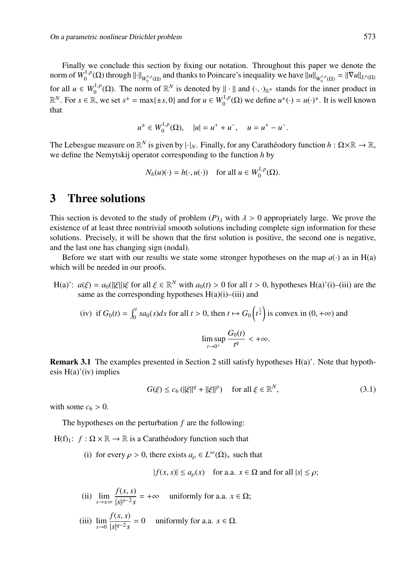Finally we conclude this section by fixing our notation. Throughout this paper we denote the norm of  $W_0^{1,p}(\Omega)$  through  $\left\| \cdot \right\|_{W_0^{1,p}(\Omega)}$  and thanks to Poincare's inequality we have  $\left\| u \right\|_{W_0^{1,p}(\Omega)} = \left\| \nabla u \right\|_{L^p(\Omega)}$ for all  $u \in W_0^{1,p}(\Omega)$ . The norm of  $\mathbb{R}^N$  is denoted by  $\|\cdot\|$  and  $(\cdot, \cdot)_{\mathbb{R}^N}$  stands for the inner product in  $\mathbb{R}^N$ . For  $s \in \mathbb{R}$ , we set  $s^{\pm} = \max\{\pm s, 0\}$  and for  $u \in W_0^{1,p}(\Omega)$  we define  $u^{\pm}(\cdot) = u(\cdot)^{\pm}$ . It is well known that

$$
u^{\pm} \in W_0^{1,p}(\Omega), \quad |u| = u^+ + u^-, \quad u = u^+ - u^-.
$$

The Lebesgue measure on  $\mathbb{R}^N$  is given by  $|\cdot|_N$ . Finally, for any Caratheodory function  $h : \Omega \times \mathbb{R} \to \mathbb{R}$ , we define the Nemytskij operator corresponding to the function *h* by

$$
N_h(u)(\cdot) = h(\cdot, u(\cdot)) \quad \text{for all } u \in W_0^{1,p}(\Omega).
$$

### 3 Three solutions

This section is devoted to the study of problem  $(P)$ <sub>λ</sub> with  $\lambda > 0$  appropriately large. We prove the existence of at least three nontrivial smooth solutions including complete sign information for these solutions. Precisely, it will be shown that the first solution is positive, the second one is negative, and the last one has changing sign (nodal).

Before we start with our results we state some stronger hypotheses on the map  $a(\cdot)$  as in H(a) which will be needed in our proofs.

H(a)':  $a(\xi) = a_0(||\xi||) \xi$  for all  $\xi \in \mathbb{R}^N$  with  $a_0(t) > 0$  for all  $t > 0$ , hypotheses H(a)'(i)–(iii) are the same as the corresponding hypotheses  $H(a)(i)$ –(iii) and

(iv) if 
$$
G_0(t) = \int_0^t sa_0(s)ds
$$
 for all  $t > 0$ , then  $t \mapsto G_0\left(t^{\frac{1}{q}}\right)$  is convex in  $(0, +\infty)$  and  

$$
\limsup_{t \to 0^+} \frac{G_0(t)}{t^q} < +\infty.
$$

Remark 3.1 The examples presented in Section 2 still satisfy hypotheses H(a)'. Note that hypothesis  $H(a)'(iv)$  implies

$$
G(\xi) \le c_6 \left( \|\xi\|^q + \|\xi\|^p \right) \quad \text{for all } \xi \in \mathbb{R}^N,
$$
\n
$$
(3.1)
$$

with some  $c_6 > 0$ .

The hypotheses on the perturbation *f* are the following:

H(f)<sub>1</sub>:  $f : \Omega \times \mathbb{R} \to \mathbb{R}$  is a Caratheodory function such that

(i) for every  $\rho > 0$ , there exists  $a_{\rho} \in L^{\infty}(\Omega)_{+}$  such that

$$
|f(x, s)| \le a_{\rho}(x) \quad \text{for a.a. } x \in \Omega \text{ and for all } |s| \le \rho;
$$

(ii) 
$$
\lim_{s \to \pm \infty} \frac{f(x, s)}{|s|^{p-2} s} = +\infty
$$
 uniformly for a.a.  $x \in \Omega$ ;

(iii) 
$$
\lim_{s \to 0} \frac{f(x, s)}{|s|^{q-2} s} = 0
$$
 uniformly for a.a.  $x \in \Omega$ .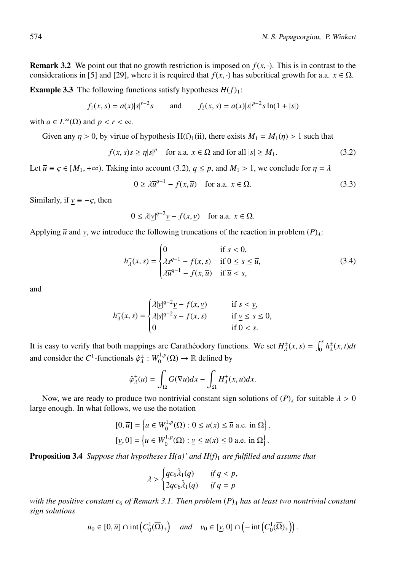**Remark 3.2** We point out that no growth restriction is imposed on  $f(x, \cdot)$ . This is in contrast to the considerations in [5] and [29], where it is required that  $f(x, \cdot)$  has subcritical growth for a.a.  $x \in \Omega$ .

**Example 3.3** The following functions satisfy hypotheses  $H(f)$ 1:

$$
f_1(x, s) = a(x)|s|^{r-2}s
$$
 and  $f_2(x, s) = a(x)|s|^{p-2}s\ln(1+|s|)$ 

with  $a \in L^{\infty}(\Omega)$  and  $p < r < \infty$ .

Given any  $\eta > 0$ , by virtue of hypothesis H(f)<sub>1</sub>(ii), there exists  $M_1 = M_1(\eta) > 1$  such that

$$
f(x, s)s \ge \eta |s|^p \quad \text{for a.a. } x \in \Omega \text{ and for all } |s| \ge M_1. \tag{3.2}
$$

Let  $\overline{u} \equiv \varsigma \in [M_1, +\infty)$ . Taking into account (3.2),  $q \leq p$ , and  $M_1 > 1$ , we conclude for  $\eta = \lambda$ 

$$
0 \ge \lambda \overline{u}^{q-1} - f(x, \overline{u}) \quad \text{for a.a. } x \in \Omega. \tag{3.3}
$$

Similarly, if  $v \equiv -\zeta$ , then

$$
0 \le \lambda |\underline{v}|^{q-2} \underline{v} - f(x, \underline{v}) \quad \text{for a.a. } x \in \Omega.
$$

Applying  $\overline{u}$  and *v*, we introduce the following truncations of the reaction in problem  $(P)_{\lambda}$ :

$$
h_{\lambda}^{+}(x,s) = \begin{cases} 0 & \text{if } s < 0, \\ \lambda s^{q-1} - f(x,s) & \text{if } 0 \le s \le \overline{u}, \\ \lambda \overline{u}^{q-1} - f(x,\overline{u}) & \text{if } \overline{u} < s, \end{cases} \tag{3.4}
$$

and

$$
h_{\lambda}^{-}(x,s) = \begin{cases} \lambda |\underline{v}|^{q-2} \underline{v} - f(x,\underline{v}) & \text{if } s < \underline{v}, \\ \lambda |s|^{q-2} s - f(x,s) & \text{if } \underline{v} \le s \le 0, \\ 0 & \text{if } 0 < s. \end{cases}
$$

It is easy to verify that both mappings are Caratheodory functions. We set  $H^{\pm}_{\lambda}(x, s) = \int_0^s h^{\pm}_{\lambda}(x, t) dt$ and consider the  $C^1$ -functionals  $\hat{\varphi}_\lambda^{\pm} : W_0^{1,p}(\Omega) \to \mathbb{R}$  defined by

$$
\hat{\varphi}_{\lambda}^{\pm}(u) = \int_{\Omega} G(\nabla u) dx - \int_{\Omega} H_{\lambda}^{\pm}(x, u) dx.
$$

Now, we are ready to produce two nontrivial constant sign solutions of  $(P)$ <sub>λ</sub> for suitable  $\lambda > 0$ large enough. In what follows, we use the notation

$$
[0,\overline{u}] = \left\{ u \in W_0^{1,p}(\Omega) : 0 \le u(x) \le \overline{u} \text{ a.e. in } \Omega \right\},\
$$

$$
[\underline{v},0] = \left\{ u \in W_0^{1,p}(\Omega) : \underline{v} \le u(x) \le 0 \text{ a.e. in } \Omega \right\}.
$$

Proposition 3.4 *Suppose that hypotheses H(a)' and H(f)*<sup>1</sup> *are fulfilled and assume that*

$$
\lambda > \begin{cases} qc_6\hat{\lambda}_1(q) & \text{if } q < p, \\ 2qc_6\hat{\lambda}_1(q) & \text{if } q = p \end{cases}
$$

*with the positive constant c*<sub>6</sub> *of Remark 3.1. Then problem*  $(P)$ <sub>λ</sub> *has at least two nontrivial constant sign solutions*

$$
u_0 \in [0, \overline{u}] \cap \mathrm{int}\left(C_0^1(\overline{\Omega})_+\right) \quad \text{and} \quad v_0 \in [\underline{v}, 0] \cap \left(-\mathrm{int}\left(C_0^1(\overline{\Omega})_+\right)\right).
$$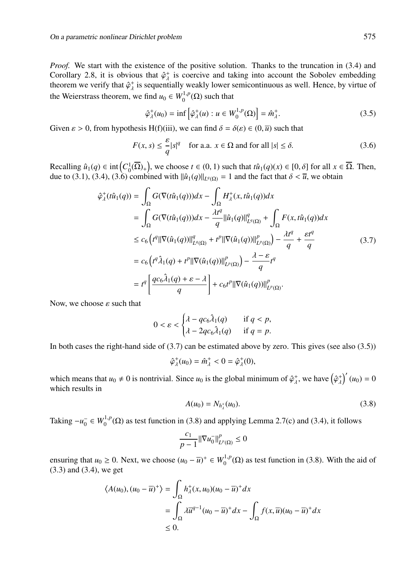*Proof.* We start with the existence of the positive solution. Thanks to the truncation in (3.4) and Corollary 2.8, it is obvious that  $\hat{\varphi}_\lambda^+$  is coercive and taking into account the Sobolev embedding theorem we verify that  $\hat{\varphi}^+_{\lambda}$  is sequentially weakly lower semicontinuous as well. Hence, by virtue of the Weierstrass theorem, we find  $u_0 \in W_0^{1,p}(\Omega)$  such that

$$
\hat{\varphi}_\lambda^+(u_0) = \inf \left[ \hat{\varphi}_\lambda^+(u) : u \in W_0^{1,p}(\Omega) \right] = \hat{m}_\lambda^+.
$$
\n(3.5)

Given  $\varepsilon > 0$ , from hypothesis H(f)(iii), we can find  $\delta = \delta(\varepsilon) \in (0, \overline{u})$  such that

$$
F(x, s) \le \frac{\varepsilon}{q} |s|^q \quad \text{for a.a. } x \in \Omega \text{ and for all } |s| \le \delta. \tag{3.6}
$$

Recalling  $\hat{u}_1(q) \in \text{int}\left(C_0^1(\overline{\Omega})_+\right)$ , we choose  $t \in (0, 1)$  such that  $t\hat{u}_1(q)(x) \in [0, \delta]$  for all  $x \in \overline{\Omega}$ . Then, due to (3.1), (3.4), (3.6) combined with  $\|\hat{u}_1(q)\|_{L^q(\Omega)} = 1$  and the fact that  $\delta < \overline{u}$ , we obtain

$$
\begin{split}\n\hat{\varphi}_{\lambda}^{+}(t\hat{u}_{1}(q)) &= \int_{\Omega} G(\nabla(t\hat{u}_{1}(q)))dx - \int_{\Omega} H_{\lambda}^{+}(x,t\hat{u}_{1}(q))dx \\
&= \int_{\Omega} G(\nabla(t\hat{u}_{1}(q)))dx - \frac{\lambda t^{q}}{q} \|\hat{u}_{1}(q)\|_{L^{q}(\Omega)}^{q} + \int_{\Omega} F(x,t\hat{u}_{1}(q))dx \\
&\leq c_{6} \left( t^{q} \|\nabla(\hat{u}_{1}(q))\|_{L^{q}(\Omega)}^{q} + t^{p} \|\nabla(\hat{u}_{1}(q))\|_{L^{p}(\Omega)}^{p} \right) - \frac{\lambda t^{q}}{q} + \frac{\varepsilon t^{q}}{q} \\
&= c_{6} \left( t^{q} \hat{\lambda}_{1}(q) + t^{p} \|\nabla(\hat{u}_{1}(q))\|_{L^{p}(\Omega)}^{p} \right) - \frac{\lambda - \varepsilon}{q} t^{q} \\
&= t^{q} \left[ \frac{qc_{6}\hat{\lambda}_{1}(q) + \varepsilon - \lambda}{q} \right] + c_{6} t^{p} \|\nabla(\hat{u}_{1}(q))\|_{L^{p}(\Omega)}^{p}.\n\end{split}
$$
\n(3.7)

Now, we choose  $\varepsilon$  such that

$$
0 < \varepsilon < \begin{cases} \lambda - qc_6\hat{\lambda}_1(q) & \text{if } q < p, \\ \lambda - 2qc_6\hat{\lambda}_1(q) & \text{if } q = p. \end{cases}
$$

In both cases the right-hand side of  $(3.7)$  can be estimated above by zero. This gives (see also  $(3.5)$ )

$$
\hat{\varphi}_{\lambda}^+(u_0)=\hat{m}_{\lambda}^+<0=\hat{\varphi}_{\lambda}^+(0),
$$

which means that  $u_0 \neq 0$  is nontrivial. Since  $u_0$  is the global minimum of  $\hat{\varphi}_\lambda^+$ , we have  $(\hat{\varphi}_\lambda^+)'(u_0) = 0$ which results in

$$
A(u_0) = N_{h_1^+}(u_0). \tag{3.8}
$$

Taking  $-u_0^- \in W_0^{1,p}(\Omega)$  as test function in (3.8) and applying Lemma 2.7(c) and (3.4), it follows

$$
\frac{c_1}{p-1} \|\nabla u_0^-\|_{L^p(\Omega)}^p \le 0
$$

ensuring that  $u_0 \ge 0$ . Next, we choose  $(u_0 - \overline{u})^+ \in W_0^{1,p}(\Omega)$  as test function in (3.8). With the aid of (3.3) and (3.4), we get

$$
\langle A(u_0), (u_0 - \overline{u})^+ \rangle = \int_{\Omega} h^+_{\lambda}(x, u_0)(u_0 - \overline{u})^+ dx
$$
  
= 
$$
\int_{\Omega} \lambda \overline{u}^{q-1} (u_0 - \overline{u})^+ dx - \int_{\Omega} f(x, \overline{u})(u_0 - \overline{u})^+ dx
$$
  
\$\leq\$ 0.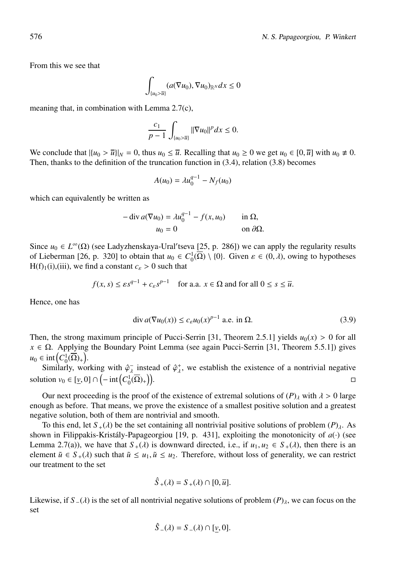From this we see that

$$
\int_{\{u_0>\overline{u}\}} (a(\nabla u_0), \nabla u_0)_{\mathbb{R}^N} dx \le 0
$$

meaning that, in combination with Lemma 2.7(c),

$$
\frac{c_1}{p-1} \int_{\{u_0 > \overline{u}\}} ||\nabla u_0||^p dx \le 0.
$$

We conclude that  $|\{u_0 > \overline{u}\}|_N = 0$ , thus  $u_0 \leq \overline{u}$ . Recalling that  $u_0 \geq 0$  we get  $u_0 \in [0, \overline{u}]$  with  $u_0 \neq 0$ . Then, thanks to the definition of the truncation function in (3.4), relation (3.8) becomes

$$
A(u_0) = \lambda u_0^{q-1} - N_f(u_0)
$$

which can equivalently be written as

$$
-\operatorname{div} a(\nabla u_0) = \lambda u_0^{q-1} - f(x, u_0) \quad \text{in } \Omega,
$$
  

$$
u_0 = 0 \quad \text{on } \partial \Omega.
$$

Since  $u_0 \in L^{\infty}(\Omega)$  (see Ladyzhenskaya-Ural'tseva [25, p. 286]) we can apply the regularity results of Lieberman [26, p. 320] to obtain that  $u_0 \in C_0^1(\overline{\Omega}) \setminus \{0\}$ . Given  $\varepsilon \in (0, \lambda)$ , owing to hypotheses H(f)<sub>1</sub>(i),(iii), we find a constant  $c_{\varepsilon} > 0$  such that

$$
f(x, s) \le \varepsilon s^{q-1} + c_{\varepsilon} s^{p-1}
$$
 for a.a.  $x \in \Omega$  and for all  $0 \le s \le \overline{u}$ .

Hence, one has

$$
\operatorname{div} a(\nabla u_0(x)) \le c_\varepsilon u_0(x)^{p-1} \text{ a.e. in } \Omega. \tag{3.9}
$$

Then, the strong maximum principle of Pucci-Serrin [31, Theorem 2.5.1] yields  $u_0(x) > 0$  for all  $x \in \Omega$ . Applying the Boundary Point Lemma (see again Pucci-Serrin [31, Theorem 5.5.1]) gives  $u_0 \in \text{int}\left(C_0^1(\overline{\Omega})_+\right).$ 

Similarly, working with  $\hat{\varphi}_{\lambda}^-$  instead of  $\hat{\varphi}_{\lambda}^+$ , we establish the existence of a nontrivial negative solution  $v_0 \in [\underline{v}, 0] \cap \left(-\operatorname{int}\left(C_0^1(\overline{\Omega})_+\right)\right)$ )).  $\Box$ 

Our next proceeding is the proof of the existence of extremal solutions of  $(P)$ <sub>λ</sub> with  $\lambda > 0$  large enough as before. That means, we prove the existence of a smallest positive solution and a greatest negative solution, both of them are nontrivial and smooth.

To this end, let  $S_+(\lambda)$  be the set containing all nontrivial positive solutions of problem  $(P)_\lambda$ . As shown in Filippakis-Kristály-Papageorgiou [19, p. 431], exploiting the monotonicity of  $a(·)$  (see Lemma 2.7(a)), we have that  $S_+(\lambda)$  is downward directed, i.e., if  $u_1, u_2 \in S_+(\lambda)$ , then there is an element  $\tilde{u} \in S_+(\lambda)$  such that  $\tilde{u} \leq u_1, \tilde{u} \leq u_2$ . Therefore, without loss of generality, we can restrict our treatment to the set

$$
\hat{S}_{+}(\lambda) = S_{+}(\lambda) \cap [0, \overline{u}].
$$

Likewise, if  $S = (\lambda)$  is the set of all nontrivial negative solutions of problem  $(P)_{\lambda}$ , we can focus on the set

$$
\hat{S}_{-}(\lambda) = S_{-}(\lambda) \cap [\underline{v}, 0].
$$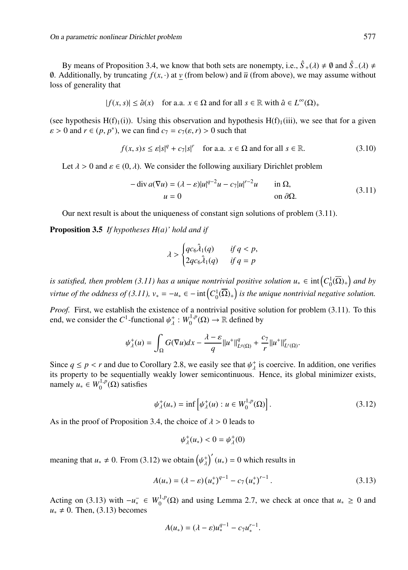By means of Proposition 3.4, we know that both sets are nonempty, i.e.,  $\hat{S}_+(\lambda) \neq \emptyset$  and  $\hat{S}_-(\lambda) \neq$ 0. Additionally, by truncating  $f(x, \cdot)$  at *v* (from below) and  $\bar{u}$  (from above), we may assume without loss of generality that

$$
|f(x, s)| \le \hat{a}(x) \quad \text{for a.a. } x \in \Omega \text{ and for all } s \in \mathbb{R} \text{ with } \hat{a} \in L^{\infty}(\Omega)_{+}
$$

(see hypothesis H(f)<sub>1</sub>(i)). Using this observation and hypothesis H(f)<sub>1</sub>(iii), we see that for a given  $\varepsilon > 0$  and  $r \in (p, p^*)$ , we can find  $c_7 = c_7(\varepsilon, r) > 0$  such that

$$
f(x, s)s \le \varepsilon |s|^q + c_7 |s|^r \quad \text{for a.a. } x \in \Omega \text{ and for all } s \in \mathbb{R}.
$$
 (3.10)

Let  $\lambda > 0$  and  $\varepsilon \in (0, \lambda)$ . We consider the following auxiliary Dirichlet problem

$$
-\operatorname{div} a(\nabla u) = (\lambda - \varepsilon)|u|^{q-2}u - c_7|u|^{r-2}u \qquad \text{in } \Omega,
$$
  
\n
$$
u = 0 \qquad \text{on } \partial\Omega.
$$
 (3.11)

Our next result is about the uniqueness of constant sign solutions of problem (3.11).

Proposition 3.5 *If hypotheses H(a)' hold and if*

$$
\lambda > \begin{cases} qc_6\lambda_1(q) & \text{if } q < p, \\ 2qc_6\lambda_1(q) & \text{if } q = p \end{cases}
$$

*is satisfied, then problem (3.11) has a unique nontrivial positive solution*  $u_* \in \text{int}\left(C_0^1(\overline{\Omega})_+\right)$  and by *virtue of the oddness of (3.11),*  $v_* = -u_* \in -\text{int}\left(C_0^1(\overline{\Omega})_+\right)$  is the unique nontrivial negative solution.

*Proof.* First, we establish the existence of a nontrivial positive solution for problem (3.11). To this end, we consider the  $C^1$ -functional  $\psi^+_{\lambda}: W_0^{1,p}(\Omega) \to \mathbb{R}$  defined by

$$
\psi_{\lambda}^{+}(u) = \int_{\Omega} G(\nabla u) dx - \frac{\lambda - \varepsilon}{q} ||u^{+}||_{L^{q}(\Omega)}^{q} + \frac{c_{7}}{r} ||u^{+}||_{L^{r}(\Omega)}^{r}.
$$

Since  $q \le p < r$  and due to Corollary 2.8, we easily see that  $\psi_{\lambda}^{+}$  is coercive. In addition, one verifies its property to be sequentially weakly lower semicontinuous. Hence, its global minimizer exists, namely  $u_* \in W_0^{1,p}(\Omega)$  satisfies

$$
\psi_{\lambda}^{+}(u_{*}) = \inf \left[ \psi_{\lambda}^{+}(u) : u \in W_{0}^{1,p}(\Omega) \right]. \tag{3.12}
$$

As in the proof of Proposition 3.4, the choice of  $\lambda > 0$  leads to

$$
\psi_\lambda^+(u_*)<0=\psi_\lambda^+(0)
$$

meaning that  $u_* \neq 0$ . From (3.12) we obtain  $(\psi_{\lambda}^{\dagger})'(u_*) = 0$  which results in

$$
A(u_*) = (\lambda - \varepsilon) (u_*^+)^{q-1} - c_7 (u_*^+)^{r-1}.
$$
\n(3.13)

Acting on (3.13) with  $-u_*^- \in W_0^{1,p}(\Omega)$  and using Lemma 2.7, we check at once that  $u_* \ge 0$  and  $u_* \neq 0$ . Then, (3.13) becomes

$$
A(u_*) = (\lambda - \varepsilon)u_*^{q-1} - c_7u_*^{r-1}.
$$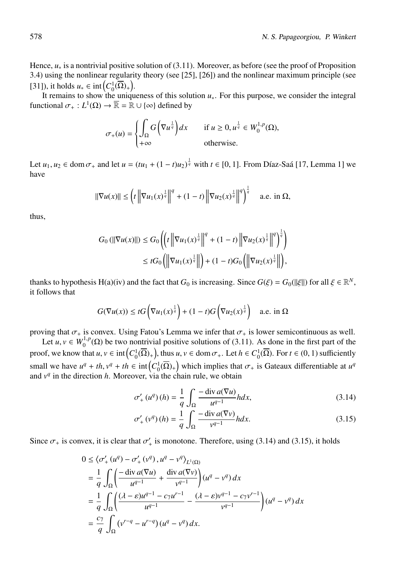Hence, *u*<sup>∗</sup> is a nontrivial positive solution of (3.11). Moreover, as before (see the proof of Proposition 3.4) using the nonlinear regularity theory (see [25], [26]) and the nonlinear maximum principle (see [31]), it holds  $u_* \in \text{int}\left(C_0^1(\overline{\Omega})_+\right)$ .

It remains to show the uniqueness of this solution *u*∗. For this purpose, we consider the integral functional  $\sigma_+ : L^1(\Omega) \to \overline{\mathbb{R}} = \mathbb{R} \cup {\infty}$  defined by

$$
\sigma_+(u) = \begin{cases} \int_{\Omega} G(\nabla u^{\frac{1}{q}}) dx & \text{if } u \ge 0, u^{\frac{1}{q}} \in W_0^{1,p}(\Omega), \\ +\infty & \text{otherwise.} \end{cases}
$$

Let  $u_1, u_2 \in \text{dom } \sigma_+$  and let  $u = (tu_1 + (1 - t)u_2)^{\frac{1}{q}}$  with  $t \in [0, 1]$ . From Díaz-Saá [17, Lemma 1] we have

$$
\|\nabla u(x)\| \le \left(t\left\|\nabla u_1(x)^{\frac{1}{q}}\right\|^q + (1-t)\left\|\nabla u_2(x)^{\frac{1}{q}}\right\|^q\right)^{\frac{1}{q}} \quad \text{a.e. in } \Omega,
$$

thus,

$$
G_0(||\nabla u(x)||) \le G_0 \left( \left( t \left\| \nabla u_1(x)^{\frac{1}{q}} \right\|^q + (1-t) \left\| \nabla u_2(x)^{\frac{1}{q}} \right\|^q \right)^{\frac{1}{q}} \right) \le t G_0 \left( \left\| \nabla u_1(x)^{\frac{1}{q}} \right\| \right) + (1-t) G_0 \left( \left\| \nabla u_2(x)^{\frac{1}{q}} \right\| \right),
$$

thanks to hypothesis H(a)(iv) and the fact that  $G_0$  is increasing. Since  $G(\xi) = G_0(||\xi||)$  for all  $\xi \in \mathbb{R}^N$ , it follows that

$$
G(\nabla u(x)) \le tG\left(\nabla u_1(x)^{\frac{1}{q}}\right) + (1-t)G\left(\nabla u_2(x)^{\frac{1}{q}}\right) \quad \text{a.e. in } \Omega
$$

proving that  $\sigma_+$  is convex. Using Fatou's Lemma we infer that  $\sigma_+$  is lower semicontinuous as well.

Let  $u, v \in W_0^{1,p}(\Omega)$  be two nontrivial positive solutions of (3.11). As done in the first part of the proof, we know that  $u, v \in \text{int}\left(C_0^1(\overline{\Omega})_+\right)$ , thus  $u, v \in \text{dom }\sigma_+$ . Let  $h \in C_0^1(\overline{\Omega})$ . For  $t \in (0, 1)$  sufficiently small we have  $u^q + th$ ,  $v^q + th \in \text{int}(C_0^1(\overline{\Omega})_+)$  which implies that  $\sigma_+$  is Gateaux differentiable at  $u^q$ and  $v<sup>q</sup>$  in the direction *h*. Moreover, via the chain rule, we obtain

$$
\sigma'_{+}(u^q)(h) = \frac{1}{q} \int_{\Omega} \frac{-\operatorname{div} a(\nabla u)}{u^{q-1}} h dx,
$$
\n(3.14)

$$
\sigma'_{+}(v^q)(h) = \frac{1}{q} \int_{\Omega} \frac{-\operatorname{div} a(\nabla v)}{v^{q-1}} h dx.
$$
 (3.15)

Since  $\sigma_+$  is convex, it is clear that  $\sigma'_+$  is monotone. Therefore, using (3.14) and (3.15), it holds

$$
0 \leq \langle \sigma'_+(u^q) - \sigma'_+(v^q), u^q - v^q \rangle_{L^1(\Omega)}
$$
  
=  $\frac{1}{q} \int_{\Omega} \left( \frac{-\operatorname{div} a(\nabla u)}{u^{q-1}} + \frac{\operatorname{div} a(\nabla v)}{v^{q-1}} \right) (u^q - v^q) dx$   
=  $\frac{1}{q} \int_{\Omega} \left( \frac{(\lambda - \varepsilon)u^{q-1} - c_7 u^{r-1}}{u^{q-1}} - \frac{(\lambda - \varepsilon)v^{q-1} - c_7 v^{r-1}}{v^{q-1}} \right) (u^q - v^q) dx$   
=  $\frac{c_7}{q} \int_{\Omega} (v^{r-q} - u^{r-q}) (u^q - v^q) dx.$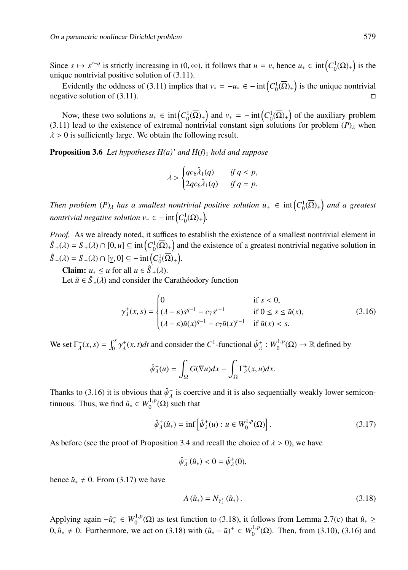Since  $s \mapsto s^{r-q}$  is strictly increasing in  $(0, \infty)$ , it follows that  $u = v$ , hence  $u_* \in \text{int}\left(C_0^1(\overline{\Omega})_+\right)$  is the unique nontrivial positive solution of  $(3.11)$ .

Evidently the oddness of (3.11) implies that  $v_* = -u_* \in -\text{int}\left(C_0^1(\overline{\Omega})_+\right)$  is the unique nontrivial negative solution of  $(3.11)$ .

Now, these two solutions  $u_* \in \text{int}\left(C_0^1(\overline{\Omega})_+\right)$  and  $v_* = -\text{int}\left(C_0^1(\overline{\Omega})_+\right)$  of the auxiliary problem  $(3.11)$  lead to the existence of extremal nontrivial constant sign solutions for problem  $(P)$ <sub>λ</sub> when  $\lambda > 0$  is sufficiently large. We obtain the following result.

Proposition 3.6 *Let hypotheses H(a)' and H(f)*<sup>1</sup> *hold and suppose*

$$
\lambda > \begin{cases} qc_6\lambda_1(q) & \text{if } q < p, \\ 2qc_6\lambda_1(q) & \text{if } q = p. \end{cases}
$$

Then problem  $(P)_{\lambda}$  has a smallest nontrivial positive solution  $u_+ \in \text{int}\left(C_0^1(\overline{\Omega})_+\right)$  and a greatest *nontrivial negative solution v*<sub>−</sub>  $\in$  −  $\text{int}\left(C_0^1(\overline{\Omega})_+\right)$ *.* 

*Proof.* As we already noted, it suffices to establish the existence of a smallest nontrivial element in  $\hat{S}_{+}(\lambda) = S_{+}(\lambda) \cap [0, \bar{u}] \subseteq \text{int}\left(C_0^1(\overline{\Omega})_+\right)$  and the existence of a greatest nontrivial negative solution in  $\hat{S}$ <sub>−</sub>( $\lambda$ ) = *S*<sub>−</sub>( $\lambda$ )  $\cap$  [ $\underline{v}$ , 0]  $\subseteq$  - int $(C_0^1(\overline{\Omega})_+)$ .

**Claim:**  $u_* \leq u$  for all  $u \in \hat{S}_+(\lambda)$ .

Let  $\tilde{u} \in \hat{S}_*(\lambda)$  and consider the Caratheodory function

$$
\gamma_{\lambda}^{+}(x,s) = \begin{cases}\n0 & \text{if } s < 0, \\
(\lambda - \varepsilon)s^{q-1} - c_7 s^{r-1} & \text{if } 0 \le s \le \tilde{u}(x), \\
(\lambda - \varepsilon)\tilde{u}(x)^{q-1} - c_7 \tilde{u}(x)^{r-1} & \text{if } \tilde{u}(x) < s.\n\end{cases}
$$
\n(3.16)

We set  $\Gamma_{\lambda}^{+}(x, s) = \int_{0}^{s} \gamma_{\lambda}^{+}(x, t) dt$  and consider the *C*<sup>1</sup>-functional  $\hat{\psi}_{\lambda}^{+}: W_{0}^{1, p}(\Omega) \to \mathbb{R}$  defined by

$$
\hat{\psi}_{\lambda}^{+}(u) = \int_{\Omega} G(\nabla u) dx - \int_{\Omega} \Gamma_{\lambda}^{+}(x, u) dx.
$$

Thanks to (3.16) it is obvious that  $\hat{\psi}^+_{\lambda}$  is coercive and it is also sequentially weakly lower semicontinuous. Thus, we find  $\hat{u}_* \in W_0^{1,p}(\Omega)$  such that

$$
\hat{\psi}_{\lambda}^{+}(\hat{u}_{*}) = \inf \left[ \hat{\psi}_{\lambda}^{+}(u) : u \in W_{0}^{1,p}(\Omega) \right]. \tag{3.17}
$$

As before (see the proof of Proposition 3.4 and recall the choice of  $\lambda > 0$ ), we have

$$
\hat{\psi}_{\lambda}^{+}(\hat{u}_{*}) < 0 = \hat{\psi}_{\lambda}^{+}(0),
$$

hence  $\hat{u}_* \neq 0$ . From (3.17) we have

$$
A\left(\hat{u}_{*}\right) = N_{\gamma_{\lambda}^{+}}\left(\hat{u}_{*}\right). \tag{3.18}
$$

Applying again  $-\hat{u}_* \in W_0^{1,p}(\Omega)$  as test function to (3.18), it follows from Lemma 2.7(c) that  $\hat{u}_* \ge$ 0,  $\hat{u}_* \neq 0$ . Furthermore, we act on (3.18) with  $(\hat{u}_* - \tilde{u})^+ \in W_0^{1,p}(\Omega)$ . Then, from (3.10), (3.16) and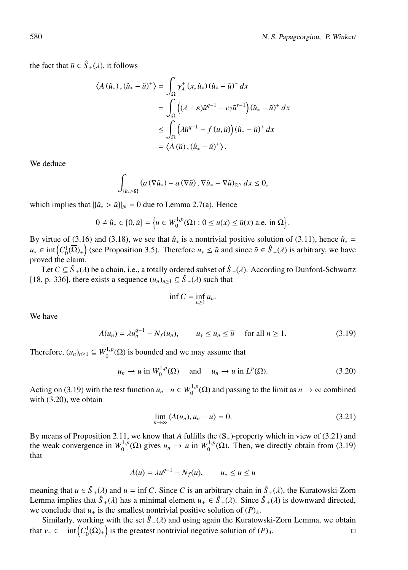the fact that  $\tilde{u} \in \hat{S}_{+}(\lambda)$ , it follows

$$
\langle A(\hat{u}_*),(\hat{u}_* - \tilde{u})^+ \rangle = \int_{\Omega} \gamma_{\lambda}^+ (x, \hat{u}_*) (\hat{u}_* - \tilde{u})^+ dx
$$
  

$$
= \int_{\Omega} \left( (\lambda - \varepsilon) \tilde{u}^{q-1} - c_7 \tilde{u}^{r-1} \right) (\hat{u}_* - \tilde{u})^+ dx
$$
  

$$
\leq \int_{\Omega} \left( \lambda \tilde{u}^{q-1} - f(u, \tilde{u}) \right) (\hat{u}_* - \tilde{u})^+ dx
$$
  

$$
= \langle A(\tilde{u}), (\hat{u}_* - \tilde{u})^+ \rangle.
$$

We deduce

$$
\int_{\{\hat{u}_*\geq \tilde{u}\}} (a\left(\nabla \hat{u}_*\right) - a\left(\nabla \tilde{u}\right), \nabla \hat{u}_* - \nabla \tilde{u}\right)_{\mathbb{R}^N} dx \leq 0,
$$

which implies that  $|{\hat{u}_* > \tilde{u}}|_N = 0$  due to Lemma 2.7(a). Hence

$$
0 \neq \hat{u}_* \in [0, \tilde{u}] = \left\{ u \in W_0^{1,p}(\Omega) : 0 \le u(x) \le \tilde{u}(x) \text{ a.e. in } \Omega \right\}.
$$

By virtue of (3.16) and (3.18), we see that  $\hat{u}_*$  is a nontrivial positive solution of (3.11), hence  $\hat{u}_*$  = *u*<sup>∗</sup> ∈ int $(C_0^1(\overline{\Omega})_+$  (see Proposition 3.5). Therefore *u*<sup>∗</sup> ≤  $\tilde{u}$  and since  $\tilde{u} \in \hat{S}_+({\lambda})$  is arbitrary, we have proved the claim.

Let  $C \subseteq \hat{S}_+(\lambda)$  be a chain, i.e., a totally ordered subset of  $\hat{S}_+(\lambda)$ . According to Dunford-Schwartz [18, p. 336], there exists a sequence  $(u_n)_{n\geq 1} \subseteq \hat{S}_+(\lambda)$  such that

$$
\inf C=\inf_{n\geq 1}u_n.
$$

We have

$$
A(u_n) = \lambda u_n^{q-1} - N_f(u_n), \qquad u_* \le u_n \le \overline{u} \quad \text{ for all } n \ge 1.
$$
 (3.19)

Therefore,  $(u_n)_{n\geq 1} \subseteq W_0^{1,p}(\Omega)$  is bounded and we may assume that

$$
u_n \rightharpoonup u \text{ in } W_0^{1,p}(\Omega) \quad \text{ and } \quad u_n \to u \text{ in } L^p(\Omega). \tag{3.20}
$$

Acting on (3.19) with the test function  $u_n - u \in W_0^{1,p}(\Omega)$  and passing to the limit as  $n \to \infty$  combined with (3.20), we obtain

$$
\lim_{n \to \infty} \langle A(u_n), u_n - u \rangle = 0. \tag{3.21}
$$

By means of Proposition 2.11, we know that *A* fulfills the  $(S<sub>+</sub>)$ -property which in view of (3.21) and the weak convergence in  $W_0^{1,p}(\Omega)$  gives  $u_n \to u$  in  $W_0^{1,p}(\Omega)$ . Then, we directly obtain from (3.19) that

$$
A(u) = \lambda u^{q-1} - N_f(u), \qquad u_* \le u \le \overline{u}
$$

meaning that  $u \in \hat{S}_+(\lambda)$  and  $u = \inf C$ . Since *C* is an arbitrary chain in  $\hat{S}_+(\lambda)$ , the Kuratowski-Zorn Lemma implies that  $\hat{S}_+(\lambda)$  has a minimal element  $u_+ \in \hat{S}_+(\lambda)$ . Since  $\hat{S}_+(\lambda)$  is downward directed, we conclude that  $u_+$  is the smallest nontrivial positive solution of  $(P)_{\lambda}$ .

Similarly, working with the set  $\hat{S}$  −( $\lambda$ ) and using again the Kuratowski-Zorn Lemma, we obtain that  $v_-\in$  − int $\left(C_0^1(\overline{\Omega})_+\right)$  is the greatest nontrivial negative solution of  $(P)_{\lambda}$ .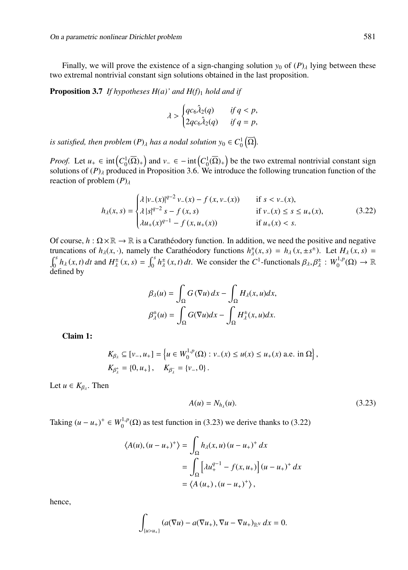Finally, we will prove the existence of a sign-changing solution  $y_0$  of  $(P)$ <sub>λ</sub> lying between these two extremal nontrivial constant sign solutions obtained in the last proposition.

Proposition 3.7 *If hypotheses H(a)' and H(f)*<sup>1</sup> *hold and if*

$$
\lambda > \begin{cases} qc_6\lambda_2(q) & \text{if } q < p, \\ 2qc_6\lambda_2(q) & \text{if } q = p, \end{cases}
$$

is satisfied, then problem  $(P)_{\lambda}$  has a nodal solution  $y_0 \in C_0^1(\overline{\Omega})$ .

*Proof.* Let  $u_+ \in \text{int}\left(C_0^1(\overline{\Omega})_+\right)$  and  $v_-\in -\text{int}\left(C_0^1(\overline{\Omega})_+\right)$  be the two extremal nontrivial constant sign solutions of  $(P)$ <sub> $\lambda$ </sub> produced in Proposition 3.6. We introduce the following truncation function of the reaction of problem  $(P)$ <sub>λ</sub>

$$
h_{\lambda}(x, s) = \begin{cases} \lambda |v_{-}(x)|^{q-2} v_{-}(x) - f(x, v_{-}(x)) & \text{if } s < v_{-}(x), \\ \lambda |s|^{q-2} s - f(x, s) & \text{if } v_{-}(x) \le s \le u_{+}(x), \\ \lambda u_{+}(x)^{q-1} - f(x, u_{+}(x)) & \text{if } u_{+}(x) < s. \end{cases}
$$
(3.22)

Of course,  $h : \Omega \times \mathbb{R} \to \mathbb{R}$  is a Caratheodory function. In addition, we need the positive and negative truncations of  $h_\lambda(x, \cdot)$ , namely the Caratheodory functions  $h_\lambda^{\pm}(x, s) = h_\lambda(x, \pm s^{\pm})$ . Let  $H_\lambda(x, s) =$  $\int_0^s h_\lambda(x,t) dt$  and  $H^{\pm}_{\lambda}(x,s) = \int_0^s h^{\pm}_{\lambda}(x,t) dt$ . We consider the C<sup>1</sup>-functionals  $\beta_{\lambda}, \beta^{\pm}_{\lambda}: W_0^{1,p}(\Omega) \to \mathbb{R}$ defined by

$$
\beta_{\lambda}(u) = \int_{\Omega} G(\nabla u) dx - \int_{\Omega} H_{\lambda}(x, u) dx,
$$

$$
\beta_{\lambda}^{\pm}(u) = \int_{\Omega} G(\nabla u) dx - \int_{\Omega} H_{\lambda}^{\pm}(x, u) dx.
$$

Claim 1:

$$
K_{\beta_{\lambda}} \subseteq [v_-, u_+] = \left\{ u \in W_0^{1,p}(\Omega) : v_-(x) \le u(x) \le u_+(x) \text{ a.e. in } \Omega \right\},\
$$
  

$$
K_{\beta_{\lambda}^+} = \{0, u_+\}, \quad K_{\beta_{\lambda}^-} = \{v_-, 0\}.
$$

Let  $u \in K_{\beta_{\lambda}}$ . Then

$$
A(u) = N_{h_{\lambda}}(u). \tag{3.23}
$$

Taking  $(u - u_+)$ <sup>+</sup>  $\in W_0^{1,p}(\Omega)$  as test function in (3.23) we derive thanks to (3.22)

$$
\langle A(u), (u - u_{+})^{+} \rangle = \int_{\Omega} h_{\lambda}(x, u) (u - u_{+})^{+} dx
$$
  
= 
$$
\int_{\Omega} \left[ \lambda u_{+}^{q-1} - f(x, u_{+}) \right] (u - u_{+})^{+} dx
$$
  
= 
$$
\langle A(u_{+}), (u - u_{+})^{+} \rangle,
$$

hence,

$$
\int_{\{u>u_+\}} (a(\nabla u)-a(\nabla u_+), \nabla u-\nabla u_+)_{{\mathbb R}^N}\,dx=0.
$$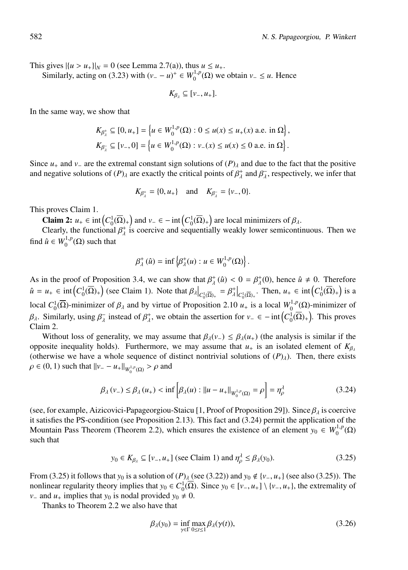This gives  $|(u > u_+)|_N = 0$  (see Lemma 2.7(a)), thus  $u \le u_+$ .

Similarly, acting on (3.23) with  $(v_ - - u)^+ \in W_0^{1,p}(\Omega)$  we obtain  $v_- \le u$ . Hence

$$
K_{\beta_\lambda}\subseteq[\nu_-,u_+].
$$

In the same way, we show that

$$
K_{\beta_{\lambda}^{+}} \subseteq [0, u_{+}] = \left\{ u \in W_{0}^{1, p}(\Omega) : 0 \le u(x) \le u_{+}(x) \text{ a.e. in } \Omega \right\},\
$$
  

$$
K_{\beta_{\lambda}^{-}} \subseteq [v_{-}, 0] = \left\{ u \in W_{0}^{1, p}(\Omega) : v_{-}(x) \le u(x) \le 0 \text{ a.e. in } \Omega \right\}.
$$

Since  $u_+$  and  $v_-$  are the extremal constant sign solutions of  $(P)$ <sub>λ</sub> and due to the fact that the positive and negative solutions of  $(P)$ <sub>λ</sub> are exactly the critical points of  $\beta^+_{\lambda}$  and  $\beta^-_{\lambda}$ , respectively, we infer that

$$
K_{\beta_{\lambda}^{+}} = \{0, u_{+}\}\
$$
 and  $K_{\beta_{\lambda}^{-}} = \{v_{-}, 0\}.$ 

This proves Claim 1.

**Claim 2:**  $u_+ \in \text{int}\left(C_0^1(\overline{\Omega})_+\right)$  and  $v_- \in -\text{int}\left(C_0^1(\overline{\Omega})_+\right)$  are local minimizers of  $\beta_\lambda$ .

Clearly, the functional  $\beta_{\lambda}^{+}$  is coercive and sequentially weakly lower semicontinuous. Then we find  $\hat{u} \in W_0^{1,p}(\Omega)$  such that

$$
\beta_\lambda^+(\hat{u}) = \inf \left\{ \beta_\lambda^+(u) : u \in W_0^{1,p}(\Omega) \right\}.
$$

As in the proof of Proposition 3.4, we can show that  $\beta_{\lambda}^+(u) < 0 = \beta_{\lambda}^+(0)$ , hence  $\hat{u} \neq 0$ . Therefore  $\hat{u} = u_+ \in \text{int}\left( C_0^1(\overline{\Omega})_+ \right)$  (see Claim 1). Note that  $\beta_{\lambda} \Big|_{C_0^1(\overline{\Omega})_+} = \beta_{\lambda}^+ \Big|_{C_0^1(\overline{\Omega})_+}$ . Then,  $u_+ \in \text{int}\left( C_0^1(\overline{\Omega})_+ \right)$  is a local  $C_0^1(\overline{\Omega})$ -minimizer of  $\beta_\lambda$  and by virtue of Proposition 2.10 *u*<sub>+</sub> is a local  $W_0^{1,p}(\Omega)$ -minimizer of  $β_λ$ . Similarly, using  $β_λ$  instead of  $β_λ$ , we obtain the assertion for  $ν_− ∈ -int(C₀_0(Ω) +)$ . This proves Claim 2.

Without loss of generality, we may assume that  $\beta_\lambda(v_-) \leq \beta_\lambda(u_+)$  (the analysis is similar if the opposite inequality holds). Furthermore, we may assume that  $u_+$  is an isolated element of  $K_\beta$ (otherwise we have a whole sequence of distinct nontrivial solutions of  $(P)_{\lambda}$ ). Then, there exists  $ρ ∈ (0, 1)$  such that  $||ν_ - - u_+||_{W_0^{1,p}(\Omega)} > ρ$  and

$$
\beta_{\lambda}(v_{-}) \leq \beta_{\lambda}(u_{+}) < \inf \left[ \beta_{\lambda}(u) : ||u - u_{+}||_{W_{0}^{1,p}(\Omega)} = \rho \right] = \eta_{\rho}^{\lambda}
$$
\n(3.24)

(see, for example, Aizicovici-Papageorgiou-Staicu [1, Proof of Proposition 29]). Since  $\beta_{\lambda}$  is coercive it satisfies the PS-condition (see Proposition 2.13). This fact and (3.24) permit the application of the Mountain Pass Theorem (Theorem 2.2), which ensures the existence of an element  $y_0 \in W_0^{1,p}(\Omega)$ such that

$$
y_0 \in K_{\beta_\lambda} \subseteq [v_-, u_+] \text{ (see Claim 1) and } \eta_\rho^\lambda \le \beta_\lambda(y_0). \tag{3.25}
$$

From (3.25) it follows that *y*<sub>0</sub> is a solution of  $(P)$ <sub>λ</sub> (see (3.22)) and *y*<sub>0</sub>  $\notin \{v_-, u_+\}$  (see also (3.25)). The nonlinear regularity theory implies that  $y_0 \in C_0^1(\overline{\Omega})$ . Since  $y_0 \in [\nu_-, u_+] \setminus \{\nu_-, u_+ \}$ , the extremality of *v*<sub>−</sub> and *u*<sub>+</sub> implies that *y*<sub>0</sub> is nodal provided *y*<sub>0</sub>  $\neq$  0.

Thanks to Theorem 2.2 we also have that

$$
\beta_{\lambda}(y_0) = \inf_{\gamma \in \Gamma} \max_{0 \le t \le 1} \beta_{\lambda}(\gamma(t)),\tag{3.26}
$$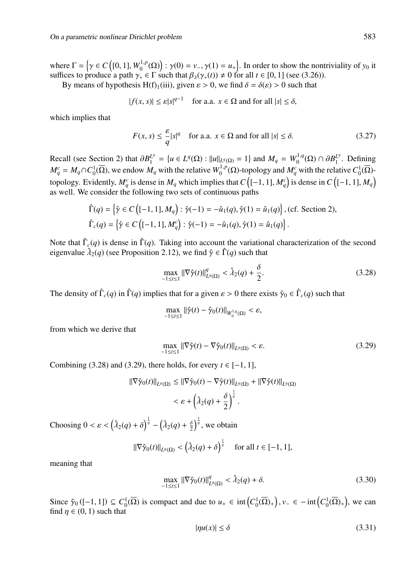where  $\Gamma = \left\{ \gamma \in C \left( [0, 1], W_0^{1, p}(\Omega) \right) : \gamma(0) = \nu_-, \gamma(1) = u_+ \right\}$ . In order to show the nontriviality of  $y_0$  it suffices to produce a path  $\gamma_* \in \Gamma$  such that  $\beta_{\lambda}(\gamma_*(t)) \neq 0$  for all  $t \in [0, 1]$  (see (3.26)).

By means of hypothesis H(f)<sub>1</sub>(iii), given  $\varepsilon > 0$ , we find  $\delta = \delta(\varepsilon) > 0$  such that

$$
|f(x, s)| \le \varepsilon |s|^{q-1} \quad \text{for a.a. } x \in \Omega \text{ and for all } |s| \le \delta,
$$

which implies that

$$
F(x, s) \le \frac{\varepsilon}{q} |s|^q \quad \text{for a.a. } x \in \Omega \text{ and for all } |s| \le \delta. \tag{3.27}
$$

Recall (see Section 2) that  $\partial B_1^{L^q} = \{u \in L^q(\Omega) : ||u||_{L^q(\Omega)} = 1\}$  and  $M_q = W_0^{1,q}(\Omega) \cap \partial B_1^{L^q}$ . Defining  $M_q^c = M_q \cap C_0^1(\overline{\Omega})$ , we endow  $M_q$  with the relative  $W_0^{1,p}(\Omega)$ -topology and  $M_q^c$  with the relative  $C_0^1(\overline{\Omega})$ topology. Evidently,  $M_q^c$  is dense in  $M_q$  which implies that  $C\left([-1,1],M_q^c\right)$  is dense in  $C\left([-1,1],M_q\right)$ as well. We consider the following two sets of continuous paths

$$
\hat{\Gamma}(q) = \left\{ \hat{\gamma} \in C \left( [-1, 1], M_q \right) : \hat{\gamma}(-1) = -\hat{u}_1(q), \hat{\gamma}(1) = \hat{u}_1(q) \right\}, \text{(cf. Section 2)},
$$
\n
$$
\hat{\Gamma}_c(q) = \left\{ \hat{\gamma} \in C \left( [-1, 1], M_q^c \right) : \hat{\gamma}(-1) = -\hat{u}_1(q), \hat{\gamma}(1) = \hat{u}_1(q) \right\}.
$$

Note that  $\hat{\Gamma}_c(q)$  is dense in  $\hat{\Gamma}(q)$ . Taking into account the variational characterization of the second eigenvalue  $\hat{\lambda}_2(q)$  (see Proposition 2.12), we find  $\hat{\gamma} \in \hat{\Gamma}(q)$  such that

$$
\max_{-1 \le t \le 1} \|\nabla \hat{\gamma}(t)\|_{L^q(\Omega)}^q < \hat{\lambda}_2(q) + \frac{\delta}{2}.\tag{3.28}
$$

The density of  $\hat{\Gamma}_c(q)$  in  $\hat{\Gamma}(q)$  implies that for a given  $\varepsilon > 0$  there exists  $\hat{\gamma}_0 \in \hat{\Gamma}_c(q)$  such that

$$
\max_{-1\leq t\leq 1}||\hat{\gamma}(t)-\hat{\gamma}_0(t)||_{W_0^{1,q}(\Omega)}<\varepsilon,
$$

from which we derive that

$$
\max_{-1 \le t \le 1} \|\nabla \hat{\gamma}(t) - \nabla \hat{\gamma}_0(t)\|_{L^q(\Omega)} < \varepsilon. \tag{3.29}
$$

Combining (3.28) and (3.29), there holds, for every  $t \in [-1, 1]$ ,

$$
\begin{aligned} \|\nabla \hat{\gamma}_0(t)\|_{L^q(\Omega)} &\leq \|\nabla \hat{\gamma}_0(t) - \nabla \hat{\gamma}(t)\|_{L^q(\Omega)} + \|\nabla \hat{\gamma}(t)\|_{L^q(\Omega)} \\ &< \varepsilon + \left(\hat{\lambda}_2(q) + \frac{\delta}{2}\right)^{\frac{1}{q}}. \end{aligned}
$$

Choosing  $0 < \varepsilon < (\lambda_2(q) + \delta)^{\frac{1}{q}} - (\lambda_2(q) + \frac{\delta}{2})^{\frac{1}{q}}$ , we obtain

$$
\|\nabla \hat{\gamma}_0(t)\|_{L^q(\Omega)} < \left(\hat{\lambda}_2(q) + \delta\right)^{\frac{1}{q}} \quad \text{for all } t \in [-1, 1],
$$

meaning that

$$
\max_{-1 \le t \le 1} ||\nabla \hat{\gamma}_0(t)||_{L^q(\Omega)}^q < \hat{\lambda}_2(q) + \delta. \tag{3.30}
$$

Since  $\hat{\gamma}_0([-1, 1]) \subseteq C_0^1(\overline{\Omega})$  is compact and due to  $u_+ \in \text{int}\left(C_0^1(\overline{\Omega})_+\right), v_- \in -\text{int}\left(C_0^1(\overline{\Omega})_+\right)$ , we can find  $\eta \in (0, 1)$  such that

$$
|\eta u(x)| \le \delta \tag{3.31}
$$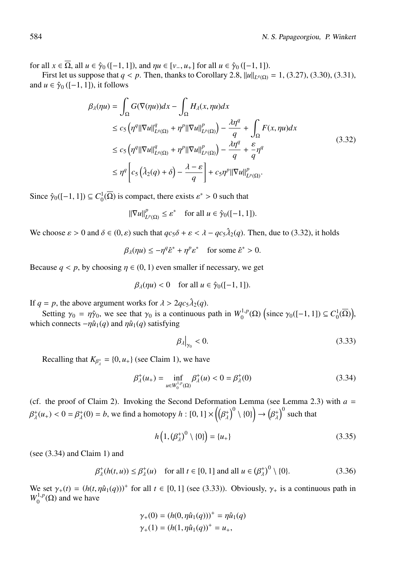for all  $x \in \overline{\Omega}$ , all  $u \in \hat{\gamma}_0$  ([-1, 1]), and  $\eta u \in [v_-, u_+]$  for all  $u \in \hat{\gamma}_0$  ([-1, 1]).

First let us suppose that *q* < *p*. Then, thanks to Corollary 2.8,  $||u||_{L^q(Q)} = 1$ , (3.27), (3.30), (3.31), and  $u \in \hat{\gamma}_0$  ([−1, 1]), it follows

$$
\beta_{\lambda}(\eta u) = \int_{\Omega} G(\nabla(\eta u)) dx - \int_{\Omega} H_{\lambda}(x, \eta u) dx
$$
  
\n
$$
\leq c_{5} \left( \eta^{q} ||\nabla u||_{L^{q}(\Omega)}^{q} + \eta^{p} ||\nabla u||_{L^{p}(\Omega)}^{p} \right) - \frac{\lambda \eta^{q}}{q} + \int_{\Omega} F(x, \eta u) dx
$$
  
\n
$$
\leq c_{5} \left( \eta^{q} ||\nabla u||_{L^{q}(\Omega)}^{q} + \eta^{p} ||\nabla u||_{L^{p}(\Omega)}^{p} \right) - \frac{\lambda \eta^{q}}{q} + \frac{\varepsilon}{q} \eta^{q}
$$
  
\n
$$
\leq \eta^{q} \left[ c_{5} \left( \lambda_{2}(q) + \delta \right) - \frac{\lambda - \varepsilon}{q} \right] + c_{5} \eta^{p} ||\nabla u||_{L^{p}(\Omega)}^{p}.
$$
\n(3.32)

Since  $\hat{\gamma}_0([-1, 1]) \subseteq C_0^1(\overline{\Omega})$  is compact, there exists  $\varepsilon^* > 0$  such that

$$
\|\nabla u\|_{L^p(\Omega)}^p \leq \varepsilon^* \quad \text{ for all } u \in \hat{\gamma}_0([-1, 1]).
$$

We choose  $\varepsilon > 0$  and  $\delta \in (0, \varepsilon)$  such that  $q c_5 \delta + \varepsilon < \lambda - q c_5 \hat{\lambda}_2(q)$ . Then, due to (3.32), it holds

$$
\beta_{\lambda}(\eta u) \le -\eta^{q} \hat{\varepsilon}^{*} + \eta^{p} \varepsilon^{*} \quad \text{for some } \hat{\varepsilon}^{*} > 0.
$$

Because  $q < p$ , by choosing  $\eta \in (0, 1)$  even smaller if necessary, we get

$$
\beta_{\lambda}(\eta u) < 0 \quad \text{for all } u \in \hat{\gamma}_0([-1, 1]).
$$

If  $q = p$ , the above argument works for  $\lambda > 2qc_5\lambda_2(q)$ .

Setting  $\gamma_0 = \eta \hat{\gamma}_0$ , we see that  $\gamma_0$  is a continuous path in  $W_0^{1,p}(\Omega)$  (since  $\gamma_0([-1,1]) \subseteq C_0^1(\overline{\Omega})$ ), which connects  $-\eta \hat{u}_1(q)$  and  $\eta \hat{u}_1(q)$  satisfying

$$
\left.\beta_{\lambda}\right|_{\gamma_0} < 0. \tag{3.33}
$$

Recalling that  $K_{\beta^*_{\lambda}} = \{0, u_+\}$  (see Claim 1), we have

$$
\beta_{\lambda}^{+}(u_{+}) = \inf_{u \in W_{0}^{1,p}(\Omega)} \beta_{\lambda}^{+}(u) < 0 = \beta_{\lambda}^{+}(0) \tag{3.34}
$$

(cf. the proof of Claim 2). Invoking the Second Deformation Lemma (see Lemma 2.3) with  $a =$  $\beta^+_{\lambda}(u_+) < 0 = \beta^+_{\lambda}(0) = b,$  we find a homotopy  $h: [0,1] \times \left(\left(\beta^+_{\lambda}\right)^0 \setminus \{0\}\right) \to \left(\beta^+_{\lambda}\right)^0$  such that

$$
h\left(1, \left(\beta_{\lambda}^{+}\right)^{0} \setminus \{0\}\right) = \{u_{+}\}\tag{3.35}
$$

(see (3.34) and Claim 1) and

$$
\beta_{\lambda}^{+}(h(t, u)) \leq \beta_{\lambda}^{+}(u) \quad \text{for all } t \in [0, 1] \text{ and all } u \in (\beta_{\lambda}^{+})^{0} \setminus \{0\}. \tag{3.36}
$$

We set  $\gamma_+(t) = (h(t, \eta \hat{u}_1(q)))^+$  for all  $t \in [0, 1]$  (see (3.33)). Obviously,  $\gamma_+$  is a continuous path in  $W_0^{1,p}(\Omega)$  and we have

$$
\gamma_{+}(0) = (h(0, \eta \hat{u}_1(q)))^+ = \eta \hat{u}_1(q)
$$
  

$$
\gamma_{+}(1) = (h(1, \eta \hat{u}_1(q))^+ = u_+,
$$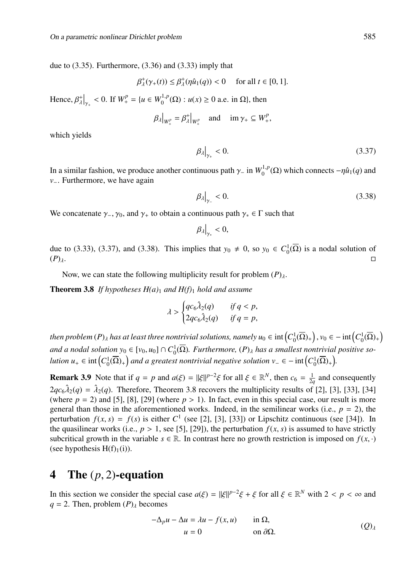due to (3.35). Furthermore, (3.36) and (3.33) imply that

$$
\beta_{\lambda}^{+}(\gamma_{+}(t)) \leq \beta_{\lambda}^{+}(\eta \hat{u}_{1}(q)) < 0 \quad \text{ for all } t \in [0, 1].
$$

Hence,  $\beta_{\lambda}^{+}\big|_{\gamma_{+}} < 0$ . If  $W_{+}^{p} = \{u \in W_{0}^{1,p}(\Omega) : u(x) \ge 0 \text{ a.e. in } \Omega\}$ , then

$$
\beta_{\lambda}|_{W_{+}^{p}} = \beta_{\lambda}^{+}|_{W_{+}^{p}} \quad \text{and} \quad \text{im } \gamma_{+} \subseteq W_{+}^{p},
$$

which yields

$$
\left.\beta_{\lambda}\right|_{\gamma_{+}}<0.\tag{3.37}
$$

In a similar fashion, we produce another continuous path  $\gamma$ <sub>−</sub> in  $W_0^{1,p}(\Omega)$  which connects  $-\eta \hat{u}_1(q)$  and *v*<sup>−</sup>. Furthermore, we have again

$$
\left.\beta_{\lambda}\right|_{\gamma_{-}}<0.\tag{3.38}
$$

We concatenate  $\gamma_-, \gamma_0$ , and  $\gamma_+$  to obtain a continuous path  $\gamma_* \in \Gamma$  such that

$$
\beta_{\lambda}\big|_{\gamma_*}<0,
$$

due to (3.33), (3.37), and (3.38). This implies that  $y_0 \neq 0$ , so  $y_0 \in C_0^1(\overline{\Omega})$  is a nodal solution of  $(P)_{\lambda}$ .

Now, we can state the following multiplicity result for problem  $(P)_{\lambda}$ .

Theorem 3.8 *If hypotheses H(a)*<sup>1</sup> *and H(f)*<sup>1</sup> *hold and assume*

$$
\lambda > \begin{cases} qc_6\lambda_2(q) & \text{if } q < p, \\ 2qc_6\lambda_2(q) & \text{if } q = p, \end{cases}
$$

then problem (P)<sub>A</sub> has at least three nontrivial solutions, namely  $u_0\in{\rm int}\Big(C_0^1(\overline{\Omega})_+\Big)$  ,  $v_0\in-{\rm int}\Big(C_0^1(\overline{\Omega})_+\Big)$ and a nodal solution  $y_0 \in [v_0, u_0] \cap C_0^1(\overline{\Omega})$ . Furthermore,  $(P)_\lambda$  has a smallest nontrivial positive so*lution u*+ ∈ int $\left(C_0^1(\overline{\Omega})_+\right)$  and a greatest nontrivial negative solution  $v_-\in$  – int $\left(C_0^1(\overline{\Omega})_+\right)$ .

**Remark 3.9** Note that if  $q = p$  and  $a(\xi) = ||\xi||^{p-2}\xi$  for all  $\xi \in \mathbb{R}^N$ , then  $c_6 = \frac{1}{2q}$  and consequently  $2q\epsilon_6\lambda_2(q) = \lambda_2(q)$ . Therefore, Theorem 3.8 recovers the multiplicity results of [2], [3], [33], [34] (where  $p = 2$ ) and [5], [8], [29] (where  $p > 1$ ). In fact, even in this special case, our result is more general than those in the aforementioned works. Indeed, in the semilinear works (i.e.,  $p = 2$ ), the perturbation  $f(x, s) = f(s)$  is either  $C^1$  (see [2], [3], [33]) or Lipschitz continuous (see [34]). In the quasilinear works (i.e.,  $p > 1$ , see [5], [29]), the perturbation  $f(x, s)$  is assumed to have strictly subcritical growth in the variable  $s \in \mathbb{R}$ . In contrast here no growth restriction is imposed on  $f(x, \cdot)$ (see hypothesis  $H(f)<sub>1</sub>(i)$ ).

### 4 The (*p*, 2)-equation

In this section we consider the special case  $a(\xi) = ||\xi||^{p-2}\xi + \xi$  for all  $\xi \in \mathbb{R}^N$  with  $2 < p < \infty$  and  $q = 2$ . Then, problem  $(P)$ <sub>λ</sub> becomes

$$
-\Delta_p u - \Delta u = \lambda u - f(x, u) \quad \text{in } \Omega,
$$
  
 
$$
u = 0 \quad \text{on } \partial\Omega.
$$
 (Q)<sub>λ</sub>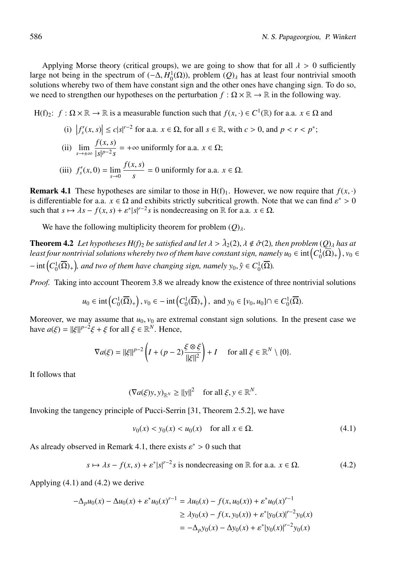Applying Morse theory (critical groups), we are going to show that for all  $\lambda > 0$  sufficiently large not being in the spectrum of  $(-\Delta, H_0^1(\Omega))$ , problem  $(Q)$ <sub> $\lambda$ </sub> has at least four nontrivial smooth solutions whereby two of them have constant sign and the other ones have changing sign. To do so, we need to strengthen our hypotheses on the perturbation  $f : \Omega \times \mathbb{R} \to \mathbb{R}$  in the following way.

H(f)<sub>2</sub>:  $f : \Omega \times \mathbb{R} \to \mathbb{R}$  is a measurable function such that  $f(x, \cdot) \in C^1(\mathbb{R})$  for a.a.  $x \in \Omega$  and

(i)  $|f'_{s}(x, s)| \le c|s|^{r-2}$  for a.a.  $x \in \Omega$ , for all  $s \in \mathbb{R}$ , with  $c > 0$ , and  $p < r < p^*$ ;

(ii) 
$$
\lim_{s \to \pm \infty} \frac{f(x, s)}{|s|^{p-2} s} = +\infty \text{ uniformly for a.a. } x \in \Omega;
$$

(iii) 
$$
f'_{s}(x, 0) = \lim_{s \to 0} \frac{f(x, s)}{s} = 0
$$
 uniformly for a.a.  $x \in \Omega$ .

**Remark 4.1** These hypotheses are similar to those in  $H(f)$ . However, we now require that  $f(x, \cdot)$ is differentiable for a.a.  $x \in \Omega$  and exhibits strictly subcritical growth. Note that we can find  $\varepsilon^* > 0$ such that  $s \mapsto \lambda s - f(x, s) + \varepsilon^* |s|^{r-2} s$  is nondecreasing on R for a.a.  $x \in \Omega$ .

We have the following multiplicity theorem for problem  $(Q)$ <sub>λ</sub>.

**Theorem 4.2** *Let hypotheses H(f)*<sub>2</sub> *be satisfied and let*  $\lambda > \hat{\lambda}_2(2)$ ,  $\lambda \notin \hat{\sigma}(2)$ , then problem  $(Q)_{\lambda}$  has at least four nontrivial solutions whereby two of them have constant sign, namely  $u_0\in{\rm int}\big(C_0^1(\overline{\Omega})_+\big)$  ,  $v_0\in$  $-$  int $\left(C_0^1(\overline{\Omega})_+\right)$ , and two of them have changing sign, namely  $y_0, \hat{y} \in C_0^1(\overline{\Omega})$ .

*Proof.* Taking into account Theorem 3.8 we already know the existence of three nontrivial solutions

$$
u_0 \in \text{int}\left(C_0^1(\overline{\Omega})_+\right), v_0 \in -\text{int}\left(C_0^1(\overline{\Omega})_+\right), \text{ and } y_0 \in [v_0, u_0] \cap \in C_0^1(\overline{\Omega}).
$$

Moreover, we may assume that  $u_0$ ,  $v_0$  are extremal constant sign solutions. In the present case we have  $a(\xi) = ||\xi||^{p-2}\xi + \xi$  for all  $\xi \in \mathbb{R}^N$ . Hence,

$$
\nabla a(\xi) = ||\xi||^{p-2} \left( I + (p-2) \frac{\xi \otimes \xi}{||\xi||^2} \right) + I \quad \text{ for all } \xi \in \mathbb{R}^N \setminus \{0\}.
$$

It follows that

$$
(\nabla a(\xi)y, y)_{\mathbb{R}^N} \ge ||y||^2 \quad \text{for all } \xi, y \in \mathbb{R}^N.
$$

Invoking the tangency principle of Pucci-Serrin [31, Theorem 2.5.2], we have

$$
v_0(x) < y_0(x) < u_0(x) \quad \text{for all } x \in \Omega. \tag{4.1}
$$

As already observed in Remark 4.1, there exists  $\varepsilon^* > 0$  such that

$$
s \mapsto \lambda s - f(x, s) + \varepsilon^* |s|^{r-2} s \text{ is nondecreasing on } \mathbb{R} \text{ for a.a. } x \in \Omega. \tag{4.2}
$$

Applying (4.1) and (4.2) we derive

$$
-\Delta_p u_0(x) - \Delta u_0(x) + \varepsilon^* u_0(x)^{r-1} = \lambda u_0(x) - f(x, u_0(x)) + \varepsilon^* u_0(x)^{r-1}
$$
  
\n
$$
\geq \lambda y_0(x) - f(x, y_0(x)) + \varepsilon^* |y_0(x)|^{r-2} y_0(x)
$$
  
\n
$$
= -\Delta_p y_0(x) - \Delta y_0(x) + \varepsilon^* |y_0(x)|^{r-2} y_0(x)
$$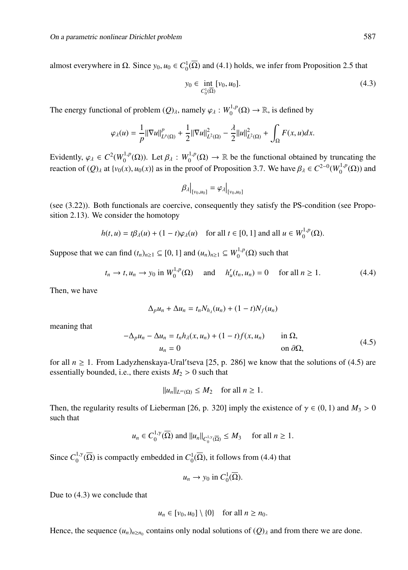almost everywhere in  $\Omega$ . Since  $y_0, u_0 \in C_0^1(\overline{\Omega})$  and (4.1) holds, we infer from Proposition 2.5 that

$$
y_0 \in \inf_{C_0^1(\overline{\Omega})} [v_0, u_0].
$$
\n(4.3)

The energy functional of problem  $(Q)_{\lambda}$ , namely  $\varphi_{\lambda}: W_0^{1,p}(\Omega) \to \mathbb{R}$ , is defined by

$$
\varphi_{\lambda}(u) = \frac{1}{p} ||\nabla u||_{L^{p}(\Omega)}^{p} + \frac{1}{2} ||\nabla u||_{L^{2}(\Omega)}^{2} - \frac{\lambda}{2} ||u||_{L^{2}(\Omega)}^{2} + \int_{\Omega} F(x, u) dx.
$$

Evidently,  $\varphi_{\lambda} \in C^2(W_0^{1,p}(\Omega))$ . Let  $\beta_{\lambda}: W_0^{1,p}(\Omega) \to \mathbb{R}$  be the functional obtained by truncating the reaction of  $(Q)$ <sub>λ</sub> at {*v*<sub>0</sub>(*x*), *u*<sub>0</sub>(*x*)} as in the proof of Proposition 3.7. We have  $\beta_{\lambda} \in C^{2-0}(W_0^{1,p}(\Omega))$  and

$$
\beta_{\lambda}\big|_{[v_0, u_0]} = \varphi_{\lambda}\big|_{[v_0, u_0]}
$$

(see (3.22)). Both functionals are coercive, consequently they satisfy the PS-condition (see Proposition 2.13). We consider the homotopy

$$
h(t, u) = t\beta_{\lambda}(u) + (1 - t)\varphi_{\lambda}(u) \quad \text{for all } t \in [0, 1] \text{ and all } u \in W_0^{1, p}(\Omega).
$$

Suppose that we can find  $(t_n)_{n\geq 1} \subseteq [0, 1]$  and  $(u_n)_{n\geq 1} \subseteq W_0^{1,p}(\Omega)$  such that

$$
t_n \to t, u_n \to y_0 \text{ in } W_0^{1,p}(\Omega) \text{ and } h'_u(t_n, u_n) = 0 \text{ for all } n \ge 1.
$$
 (4.4)

Then, we have

$$
\Delta_p u_n + \Delta u_n = t_n N_{h_\lambda}(u_n) + (1-t)N_f(u_n)
$$

meaning that

$$
-\Delta_p u_n - \Delta u_n = t_n h_\lambda(x, u_n) + (1 - t) f(x, u_n) \quad \text{in } \Omega,
$$
  

$$
u_n = 0 \quad \text{on } \partial\Omega,
$$
 (4.5)

for all  $n \ge 1$ . From Ladyzhenskaya-Ural'tseva [25, p. 286] we know that the solutions of (4.5) are essentially bounded, i.e., there exists  $M_2 > 0$  such that

 $||u_n||_{L^{\infty}(\Omega)} \leq M_2$  for all  $n \geq 1$ .

Then, the regularity results of Lieberman [26, p. 320] imply the existence of  $\gamma \in (0, 1)$  and  $M_3 > 0$ such that

$$
u_n \in C_0^{1,\gamma}(\overline{\Omega})
$$
 and  $||u_n||_{C_0^{1,\gamma}(\overline{\Omega})} \leq M_3$  for all  $n \geq 1$ .

Since  $C_0^{1,\gamma}(\overline{\Omega})$  is compactly embedded in  $C_0^1(\overline{\Omega})$ , it follows from (4.4) that

$$
u_n \to y_0 \text{ in } C_0^1(\overline{\Omega}).
$$

Due to (4.3) we conclude that

$$
u_n \in [v_0, u_0] \setminus \{0\} \quad \text{for all } n \ge n_0.
$$

Hence, the sequence  $(u_n)_{n \ge n_0}$  contains only nodal solutions of  $(Q)_{\lambda}$  and from there we are done.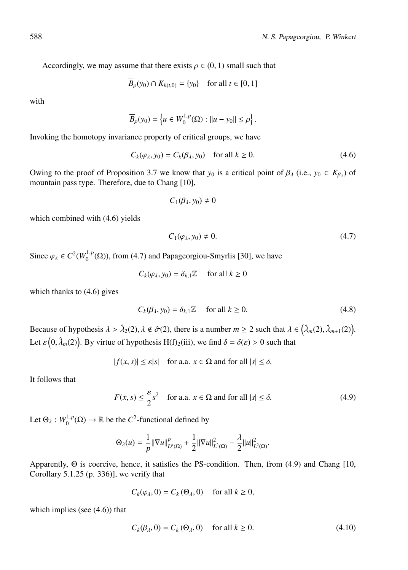Accordingly, we may assume that there exists  $\rho \in (0, 1)$  small such that

$$
B_{\rho}(y_0) \cap K_{h(t,0)} = \{y_0\}
$$
 for all  $t \in [0, 1]$ 

with

$$
\overline{B}_{\rho}(y_0) = \left\{ u \in W_0^{1,p}(\Omega) : ||u - y_0|| \le \rho \right\}.
$$

Invoking the homotopy invariance property of critical groups, we have

$$
C_k(\varphi_\lambda, y_0) = C_k(\beta_\lambda, y_0) \quad \text{for all } k \ge 0.
$$
 (4.6)

Owing to the proof of Proposition 3.7 we know that  $y_0$  is a critical point of  $\beta_\lambda$  (i.e.,  $y_0 \in K_{\beta_\lambda}$ ) of mountain pass type. Therefore, due to Chang [10],

$$
C_1(\beta_\lambda,y_0)\neq 0
$$

which combined with  $(4.6)$  yields

$$
C_1(\varphi_\lambda, y_0) \neq 0. \tag{4.7}
$$

Since  $\varphi_{\lambda} \in C^2(W_0^{1,p}(\Omega))$ , from (4.7) and Papageorgiou-Smyrlis [30], we have

$$
C_k(\varphi_\lambda, y_0) = \delta_{k,1} \mathbb{Z} \quad \text{ for all } k \ge 0
$$

which thanks to (4.6) gives

$$
C_k(\beta_\lambda, y_0) = \delta_{k,1} \mathbb{Z} \quad \text{for all } k \ge 0.
$$
 (4.8)

Because of hypothesis  $\lambda > \hat{\lambda}_2(2)$ ,  $\lambda \notin \hat{\sigma}(2)$ , there is a number  $m \geq 2$  such that  $\lambda \in (\hat{\lambda}_m(2), \hat{\lambda}_{m+1}(2))$ . Let  $\varepsilon(0, \hat{\lambda}_m(2))$ . By virtue of hypothesis H(f)<sub>2</sub>(iii), we find  $\delta = \delta(\varepsilon) > 0$  such that

 $|f(x, s)| \leq \varepsilon |s|$  for a.a.  $x \in \Omega$  and for all  $|s| \leq \delta$ .

It follows that

$$
F(x, s) \le \frac{\varepsilon}{2} s^2 \quad \text{for a.a. } x \in \Omega \text{ and for all } |s| \le \delta. \tag{4.9}
$$

Let  $\Theta_{\lambda}: W_0^{1,p}(\Omega) \to \mathbb{R}$  be the  $C^2$ -functional defined by

$$
\Theta_{\lambda}(u) = \frac{1}{p} ||\nabla u||_{L^{p}(\Omega)}^{p} + \frac{1}{2} ||\nabla u||_{L^{2}(\Omega)}^{2} - \frac{\lambda}{2} ||u||_{L^{2}(\Omega)}^{2}.
$$

Apparently, Θ is coercive, hence, it satisfies the PS-condition. Then, from (4.9) and Chang [10, Corollary 5.1.25 (p. 336)], we verify that

$$
C_k(\varphi_\lambda, 0) = C_k(\Theta_\lambda, 0) \quad \text{ for all } k \ge 0,
$$

which implies (see  $(4.6)$ ) that

$$
C_k(\beta_\lambda, 0) = C_k(\Theta_\lambda, 0) \quad \text{ for all } k \ge 0.
$$
 (4.10)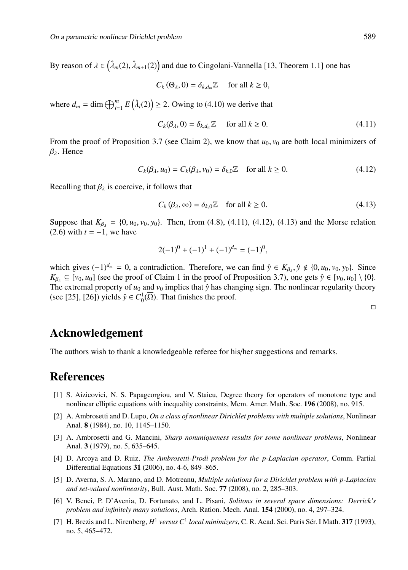By reason of  $\lambda \in (\hat{\lambda}_m(2), \hat{\lambda}_{m+1}(2))$  and due to Cingolani-Vannella [13, Theorem 1.1] one has

$$
C_k(\Theta_\lambda, 0) = \delta_{k,d_m} \mathbb{Z} \quad \text{ for all } k \ge 0,
$$

where  $d_m = \dim \bigoplus_{i=1}^m E(\hat{\lambda}_i(2)) \geq 2$ . Owing to (4.10) we derive that

$$
C_k(\beta_\lambda, 0) = \delta_{k,d_m} \mathbb{Z} \quad \text{ for all } k \ge 0.
$$
 (4.11)

From the proof of Proposition 3.7 (see Claim 2), we know that  $u_0$ ,  $v_0$  are both local minimizers of  $β<sub>λ</sub>$ . Hence

$$
C_k(\beta_\lambda, u_0) = C_k(\beta_\lambda, v_0) = \delta_{k,0} \mathbb{Z} \quad \text{for all } k \ge 0.
$$
 (4.12)

Recalling that  $\beta_{\lambda}$  is coercive, it follows that

$$
C_k(\beta_\lambda, \infty) = \delta_{k,0}\mathbb{Z} \quad \text{for all } k \ge 0.
$$
 (4.13)

Suppose that  $K_{\beta_1} = \{0, u_0, v_0, v_0\}$ . Then, from (4.8), (4.11), (4.12), (4.13) and the Morse relation  $(2.6)$  with  $t = -1$ , we have

$$
2(-1)^{0} + (-1)^{1} + (-1)^{d_{m}} = (-1)^{0},
$$

which gives  $(-1)^{d_m} = 0$ , a contradiction. Therefore, we can find  $\hat{y} \in K_{\beta_\lambda}, \hat{y} \notin \{0, u_0, v_0, y_0\}$ . Since  $K_{\beta_1} \subseteq [v_0, u_0]$  (see the proof of Claim 1 in the proof of Proposition 3.7), one gets  $\hat{y} \in [v_0, u_0] \setminus \{0\}$ . The extremal property of  $u_0$  and  $v_0$  implies that  $\hat{y}$  has changing sign. The nonlinear regularity theory (see [25], [26]) yields  $\hat{y} \in C_0^1(\overline{\Omega})$ . That finishes the proof.

 $\Box$ 

#### Acknowledgement

The authors wish to thank a knowledgeable referee for his/her suggestions and remarks.

## References

- [1] S. Aizicovici, N. S. Papageorgiou, and V. Staicu, Degree theory for operators of monotone type and nonlinear elliptic equations with inequality constraints, Mem. Amer. Math. Soc. 196 (2008), no. 915.
- [2] A. Ambrosetti and D. Lupo, *On a class of nonlinear Dirichlet problems with multiple solutions*, Nonlinear Anal. 8 (1984), no. 10, 1145–1150.
- [3] A. Ambrosetti and G. Mancini, *Sharp nonuniqueness results for some nonlinear problems*, Nonlinear Anal. 3 (1979), no. 5, 635–645.
- [4] D. Arcoya and D. Ruiz, *The Ambrosetti-Prodi problem for the p-Laplacian operator*, Comm. Partial Differential Equations 31 (2006), no. 4-6, 849–865.
- [5] D. Averna, S. A. Marano, and D. Motreanu, *Multiple solutions for a Dirichlet problem with p-Laplacian and set-valued nonlinearity*, Bull. Aust. Math. Soc. 77 (2008), no. 2, 285–303.
- [6] V. Benci, P. D'Avenia, D. Fortunato, and L. Pisani, *Solitons in several space dimensions: Derrick's problem and infinitely many solutions*, Arch. Ration. Mech. Anal. 154 (2000), no. 4, 297–324.
- [7] H. Brezis and L. Nirenberg,  $H^1$  *versus C*<sup>1</sup> *local minimizers*, C. R. Acad. Sci. Paris Sér. I Math. **317** (1993), no. 5, 465–472.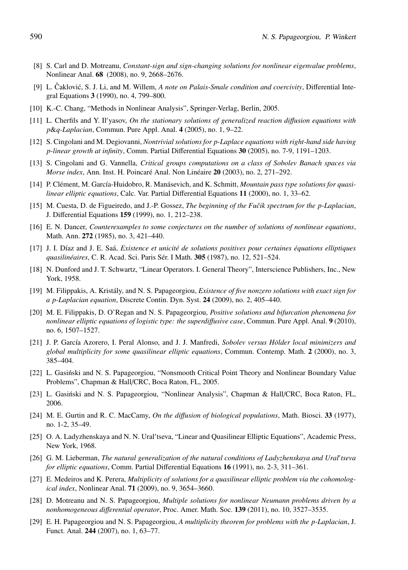- [8] S. Carl and D. Motreanu, *Constant-sign and sign-changing solutions for nonlinear eigenvalue problems*, Nonlinear Anal. 68 (2008), no. 9, 2668–2676.
- [9] L. Čaklović, S. J. Li, and M. Willem, A note on Palais-Smale condition and coercivity, Differential Integral Equations 3 (1990), no. 4, 799–800.
- [10] K.-C. Chang, "Methods in Nonlinear Analysis", Springer-Verlag, Berlin, 2005.
- [11] L. Cherfils and Y. Il yasov, *On the stationary solutions of generalized reaction di*ff*usion equations with p*&*q-Laplacian*, Commun. Pure Appl. Anal. 4 (2005), no. 1, 9–22.
- [12] S. Cingolani and M. Degiovanni, *Nontrivial solutions for p-Laplace equations with right-hand side having p-linear growth at infinity*, Comm. Partial Differential Equations 30 (2005), no. 7-9, 1191–1203.
- [13] S. Cingolani and G. Vannella, *Critical groups computations on a class of Sobolev Banach spaces via Morse index*, Ann. Inst. H. Poincaré Anal. Non Linéaire 20 (2003), no. 2, 271–292.
- [14] P. Clément, M. García-Huidobro, R. Manásevich, and K. Schmitt, *Mountain pass type solutions for quasilinear elliptic equations*, Calc. Var. Partial Differential Equations 11 (2000), no. 1, 33–62.
- [15] M. Cuesta, D. de Figueiredo, and J.-P. Gossez, *The beginning of the Fučik spectrum for the p-Laplacian*, J. Differential Equations 159 (1999), no. 1, 212–238.
- [16] E. N. Dancer, *Counterexamples to some conjectures on the number of solutions of nonlinear equations*, Math. Ann. 272 (1985), no. 3, 421–440.
- [17] J. I. D´ıaz and J. E. Saa,´ *Existence et unicit´e de solutions positives pour certaines ´equations elliptiques quasilinéaires*, C. R. Acad. Sci. Paris Sér. I Math. **305** (1987), no. 12, 521–524.
- [18] N. Dunford and J. T. Schwartz, "Linear Operators. I. General Theory", Interscience Publishers, Inc., New York, 1958.
- [19] M. Filippakis, A. Kristály, and N. S. Papageorgiou, *Existence of five nonzero solutions with exact sign for a p-Laplacian equation*, Discrete Contin. Dyn. Syst. 24 (2009), no. 2, 405–440.
- [20] M. E. Filippakis, D. O'Regan and N. S. Papageorgiou, *Positive solutions and bifurcation phenomena for nonlinear elliptic equations of logistic type: the superdiffusive case*, Commun. Pure Appl. Anal. 9 (2010), no. 6, 1507–1527.
- [21] J. P. García Azorero, I. Peral Alonso, and J. J. Manfredi, *Sobolev versus Hölder local minimizers and global multiplicity for some quasilinear elliptic equations*, Commun. Contemp. Math. 2 (2000), no. 3, 385–404.
- [22] L. Gasinski and N. S. Papageorgiou, "Nonsmooth Critical Point Theory and Nonlinear Boundary Value ´ Problems", Chapman & Hall/CRC, Boca Raton, FL, 2005.
- [23] L. Gasiński and N. S. Papageorgiou, "Nonlinear Analysis", Chapman & Hall/CRC, Boca Raton, FL, 2006.
- [24] M. E. Gurtin and R. C. MacCamy, *On the di*ff*usion of biological populations*, Math. Biosci. 33 (1977), no. 1-2, 35–49.
- [25] O. A. Ladyzhenskaya and N. N. Ural'tseva, "Linear and Quasilinear Elliptic Equations", Academic Press, New York, 1968.
- [26] G. M. Lieberman, *The natural generalization of the natural conditions of Ladyzhenskaya and Ural tseva for elliptic equations*, Comm. Partial Differential Equations 16 (1991), no. 2-3, 311–361.
- [27] E. Medeiros and K. Perera, *Multiplicity of solutions for a quasilinear elliptic problem via the cohomological index*, Nonlinear Anal. 71 (2009), no. 9, 3654–3660.
- [28] D. Motreanu and N. S. Papageorgiou, *Multiple solutions for nonlinear Neumann problems driven by a nonhomogeneous di*ff*erential operator*, Proc. Amer. Math. Soc. 139 (2011), no. 10, 3527–3535.
- [29] E. H. Papageorgiou and N. S. Papageorgiou, *A multiplicity theorem for problems with the p-Laplacian*, J. Funct. Anal. 244 (2007), no. 1, 63–77.